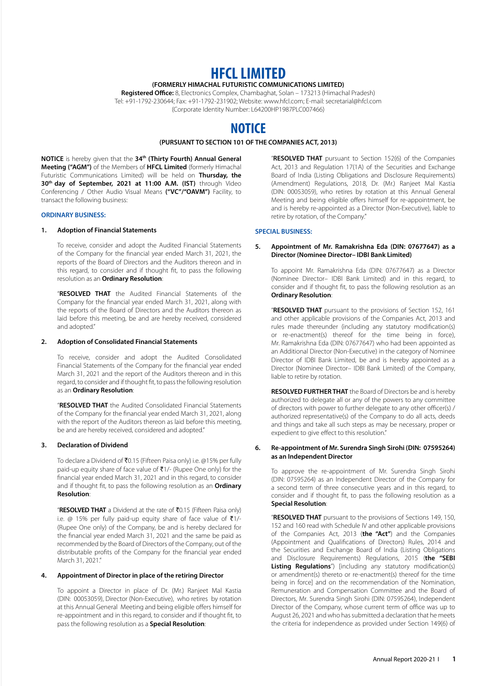# **HFCL LIMITED**

# **(FORMERLY HIMACHAL FUTURISTIC COMMUNICATIONS LIMITED)**

**Registered Office:** 8, Electronics Complex, Chambaghat, Solan – 173213 (Himachal Pradesh) Tel: +91-1792-230644; Fax: +91-1792-231902; Website: www.hfcl.com; E-mail: secretarial@hfcl.com (Corporate Identity Number: L64200HP1987PLC007466)

# **NOTICE**

# **(PURSUANT TO SECTION 101 OF THE COMPANIES ACT, 2013)**

**NOTICE** is hereby given that the **34th (Thirty Fourth) Annual General Meeting ("AGM")** of the Members of **HFCL Limited** (formerly Himachal Futuristic Communications Limited) will be held on **Thursday, the 30th day of September, 2021 at 11:00 A.M. (IST)** through Video Conferencing / Other Audio Visual Means **("VC"/"OAVM")** Facility, to transact the following business:

# **ORDINARY BUSINESS:**

#### **1. Adoption of Financial Statements**

To receive, consider and adopt the Audited Financial Statements of the Company for the financial year ended March 31, 2021, the reports of the Board of Directors and the Auditors thereon and in this regard, to consider and if thought fit, to pass the following resolution as an **Ordinary Resolution**:

"**RESOLVED THAT** the Audited Financial Statements of the Company for the financial year ended March 31, 2021, along with the reports of the Board of Directors and the Auditors thereon as laid before this meeting, be and are hereby received, considered and adopted."

#### **2. Adoption of Consolidated Financial Statements**

To receive, consider and adopt the Audited Consolidated Financial Statements of the Company for the financial year ended March 31, 2021 and the report of the Auditors thereon and in this regard, to consider and if thought fit, to pass the following resolution as an **Ordinary Resolution**:

"**RESOLVED THAT** the Audited Consolidated Financial Statements of the Company for the financial year ended March 31, 2021, along with the report of the Auditors thereon as laid before this meeting, be and are hereby received, considered and adopted."

# **3. Declaration of Dividend**

To declare a Dividend of ₹0.15 (Fifteen Paisa only) i.e. @15% per fully paid-up equity share of face value of  $\bar{\tau}$ 1/- (Rupee One only) for the financial year ended March 31, 2021 and in this regard, to consider and if thought fit, to pass the following resolution as an **Ordinary Resolution**:

"**RESOLVED THAT** a Dividend at the rate of `0.15 (Fifteen Paisa only) i.e. @ 15% per fully paid-up equity share of face value of  $\bar{\tau}$ 1/-(Rupee One only) of the Company, be and is hereby declared for the financial year ended March 31, 2021 and the same be paid as recommended by the Board of Directors of the Company, out of the distributable profits of the Company for the financial year ended March 31, 2021."

# **4. Appointment of Director in place of the retiring Director**

To appoint a Director in place of Dr. (Mr.) Ranjeet Mal Kastia (DIN: 00053059), Director (Non-Executive), who retires by rotation at this Annual General Meeting and being eligible offers himself for re-appointment and in this regard, to consider and if thought fit, to pass the following resolution as a **Special Resolution**:

"**RESOLVED THAT** pursuant to Section 152(6) of the Companies Act, 2013 and Regulation 17(1A) of the Securities and Exchange Board of India (Listing Obligations and Disclosure Requirements) (Amendment) Regulations, 2018, Dr. (Mr.) Ranjeet Mal Kastia (DIN: 00053059), who retires by rotation at this Annual General Meeting and being eligible offers himself for re-appointment, be and is hereby re-appointed as a Director (Non-Executive), liable to retire by rotation, of the Company."

#### **SPECIAL BUSINESS:**

#### **5. Appointment of Mr. Ramakrishna Eda (DIN: 07677647) as a Director (Nominee Director– IDBI Bank Limited)**

To appoint Mr. Ramakrishna Eda (DIN: 07677647) as a Director (Nominee Director– IDBI Bank Limited) and in this regard, to consider and if thought fit, to pass the following resolution as an **Ordinary Resolution**:

"**RESOLVED THAT** pursuant to the provisions of Section 152, 161 and other applicable provisions of the Companies Act, 2013 and rules made thereunder (including any statutory modification(s) or re-enactment(s) thereof for the time being in force), Mr. Ramakrishna Eda (DIN: 07677647) who had been appointed as an Additional Director (Non-Executive) in the category of Nominee Director of IDBI Bank Limited, be and is hereby appointed as a Director (Nominee Director– IDBI Bank Limited) of the Company, liable to retire by rotation.

**RESOLVED FURTHER THAT** the Board of Directors be and is hereby authorized to delegate all or any of the powers to any committee of directors with power to further delegate to any other officer(s) / authorized representative(s) of the Company to do all acts, deeds and things and take all such steps as may be necessary, proper or expedient to give effect to this resolution."

#### **6. Re-appointment of Mr. Surendra Singh Sirohi (DIN: 07595264) as an Independent Director**

To approve the re-appointment of Mr. Surendra Singh Sirohi (DIN: 07595264) as an Independent Director of the Company for a second term of three consecutive years and in this regard, to consider and if thought fit, to pass the following resolution as a **Special Resolution**:

"**RESOLVED THAT** pursuant to the provisions of Sections 149, 150, 152 and 160 read with Schedule IV and other applicable provisions of the Companies Act, 2013 (**the "Act"**) and the Companies (Appointment and Qualifications of Directors) Rules, 2014 and the Securities and Exchange Board of India (Listing Obligations and Disclosure Requirements) Regulations, 2015 (**the "SEBI Listing Regulations**") [including any statutory modification(s) or amendment(s) thereto or re-enactment(s) thereof for the time being in force] and on the recommendation of the Nomination, Remuneration and Compensation Committee and the Board of Directors, Mr. Surendra Singh Sirohi (DIN: 07595264), Independent Director of the Company, whose current term of office was up to August 26, 2021 and who has submitted a declaration that he meets the criteria for independence as provided under Section 149(6) of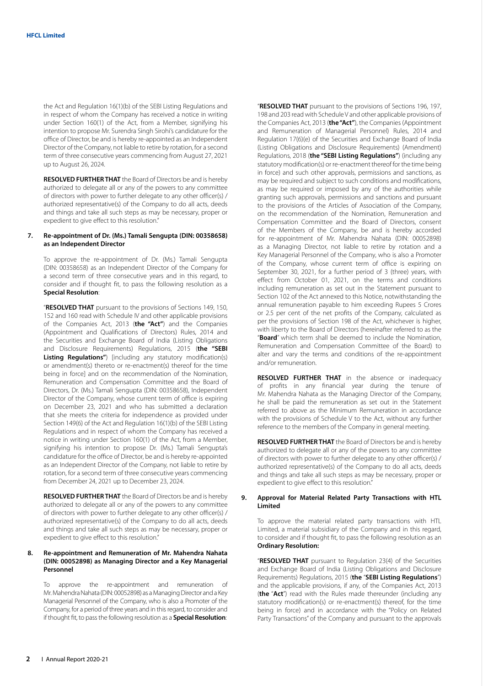the Act and Regulation 16(1)(b) of the SEBI Listing Regulations and in respect of whom the Company has received a notice in writing under Section 160(1) of the Act, from a Member, signifying his intention to propose Mr. Surendra Singh Sirohi's candidature for the office of Director, be and is hereby re-appointed as an Independent Director of the Company, not liable to retire by rotation, for a second term of three consecutive years commencing from August 27, 2021 up to August 26, 2024.

**RESOLVED FURTHER THAT** the Board of Directors be and is hereby authorized to delegate all or any of the powers to any committee of directors with power to further delegate to any other officer(s) / authorized representative(s) of the Company to do all acts, deeds and things and take all such steps as may be necessary, proper or expedient to give effect to this resolution."

# **7. Re-appointment of Dr. (Ms.) Tamali Sengupta (DIN: 00358658) as an Independent Director**

To approve the re-appointment of Dr. (Ms.) Tamali Sengupta (DIN: 00358658) as an Independent Director of the Company for a second term of three consecutive years and in this regard, to consider and if thought fit, to pass the following resolution as a **Special Resolution**:

"**RESOLVED THAT** pursuant to the provisions of Sections 149, 150, 152 and 160 read with Schedule IV and other applicable provisions of the Companies Act, 2013 (**the "Act"**) and the Companies (Appointment and Qualifications of Directors) Rules, 2014 and the Securities and Exchange Board of India (Listing Obligations and Disclosure Requirements) Regulations, 2015 (**the "SEBI Listing Regulations"**) [including any statutory modification(s) or amendment(s) thereto or re-enactment(s) thereof for the time being in force] and on the recommendation of the Nomination, Remuneration and Compensation Committee and the Board of Directors, Dr. (Ms.) Tamali Sengupta (DIN: 00358658), Independent Director of the Company, whose current term of office is expiring on December 23, 2021 and who has submitted a declaration that she meets the criteria for independence as provided under Section 149(6) of the Act and Regulation 16(1)(b) of the SEBI Listing Regulations and in respect of whom the Company has received a notice in writing under Section 160(1) of the Act, from a Member, signifying his intention to propose Dr. (Ms.) Tamali Sengupta's candidature for the office of Director, be and is hereby re-appointed as an Independent Director of the Company, not liable to retire by rotation, for a second term of three consecutive years commencing from December 24, 2021 up to December 23, 2024.

**RESOLVED FURTHER THAT** the Board of Directors be and is hereby authorized to delegate all or any of the powers to any committee of directors with power to further delegate to any other officer(s) / authorized representative(s) of the Company to do all acts, deeds and things and take all such steps as may be necessary, proper or expedient to give effect to this resolution."

#### **8. Re-appointment and Remuneration of Mr. Mahendra Nahata (DIN: 00052898) as Managing Director and a Key Managerial Personnel**

To approve the re-appointment and remuneration of Mr. Mahendra Nahata (DIN: 00052898) as a Managing Director and a Key Managerial Personnel of the Company, who is also a Promoter of the Company, for a period of three years and in this regard, to consider and if thought fit, to pass the following resolution as a **Special Resolution**:

"**RESOLVED THAT** pursuant to the provisions of Sections 196, 197, 198 and 203 read with Schedule V and other applicable provisions of the Companies Act, 2013 (**the "Act"**), the Companies (Appointment and Remuneration of Managerial Personnel) Rules, 2014 and Regulation 17(6)(e) of the Securities and Exchange Board of India (Listing Obligations and Disclosure Requirements) (Amendment) Regulations, 2018 (**the "SEBI Listing Regulations"**) (including any statutory modification(s) or re-enactment thereof for the time being in force) and such other approvals, permissions and sanctions, as may be required and subject to such conditions and modifications, as may be required or imposed by any of the authorities while granting such approvals, permissions and sanctions and pursuant to the provisions of the Articles of Association of the Company, on the recommendation of the Nomination, Remuneration and Compensation Committee and the Board of Directors, consent of the Members of the Company, be and is hereby accorded for re-appointment of Mr. Mahendra Nahata (DIN: 00052898) as a Managing Director, not liable to retire by rotation and a Key Managerial Personnel of the Company, who is also a Promoter of the Company, whose current term of office is expiring on September 30, 2021, for a further period of 3 (three) years, with effect from October 01, 2021, on the terms and conditions including remuneration as set out in the Statement pursuant to Section 102 of the Act annexed to this Notice, notwithstanding the annual remuneration payable to him exceeding Rupees 5 Crores or 2.5 per cent of the net profits of the Company, calculated as per the provisions of Section 198 of the Act, whichever is higher, with liberty to the Board of Directors (hereinafter referred to as the "**Board**" which term shall be deemed to include the Nomination, Remuneration and Compensation Committee of the Board) to alter and vary the terms and conditions of the re-appointment and/or remuneration.

**RESOLVED FURTHER THAT** in the absence or inadequacy of profits in any financial year during the tenure of Mr. Mahendra Nahata as the Managing Director of the Company, he shall be paid the remuneration as set out in the Statement referred to above as the Minimum Remuneration in accordance with the provisions of Schedule V to the Act, without any further reference to the members of the Company in general meeting.

**RESOLVED FURTHER THAT** the Board of Directors be and is hereby authorized to delegate all or any of the powers to any committee of directors with power to further delegate to any other officer(s) / authorized representative(s) of the Company to do all acts, deeds and things and take all such steps as may be necessary, proper or expedient to give effect to this resolution."

### **9. Approval for Material Related Party Transactions with HTL Limited**

To approve the material related party transactions with HTL Limited, a material subsidiary of the Company and in this regard, to consider and if thought fit, to pass the following resolution as an **Ordinary Resolution:**

"**RESOLVED THAT** pursuant to Regulation 23(4) of the Securities and Exchange Board of India (Listing Obligations and Disclosure Requirements) Regulations, 2015 (**the** "**SEBI Listing Regulations**") and the applicable provisions, if any, of the Companies Act, 2013 (**the** "**Act**") read with the Rules made thereunder (including any statutory modification(s) or re-enactment(s) thereof, for the time being in force) and in accordance with the "Policy on Related Party Transactions" of the Company and pursuant to the approvals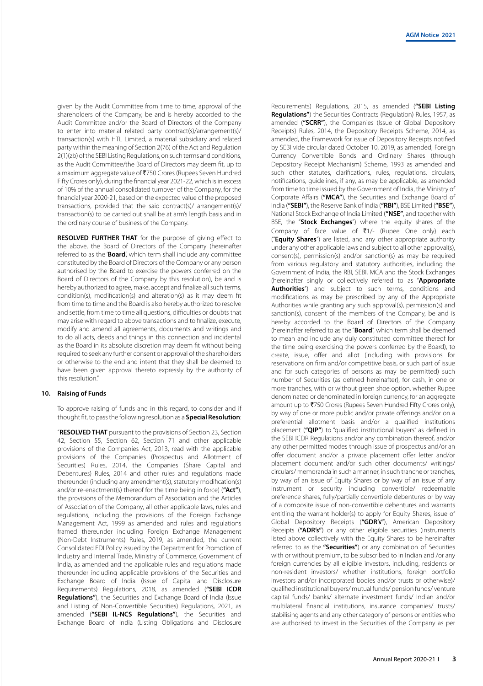given by the Audit Committee from time to time, approval of the shareholders of the Company, be and is hereby accorded to the Audit Committee and/or the Board of Directors of the Company to enter into material related party contract(s)/arrangement(s)/ transaction(s) with HTL Limited, a material subsidiary and related party within the meaning of Section 2(76) of the Act and Regulation 2(1)(zb) of the SEBI Listing Regulations, on such terms and conditions, as the Audit Committee/the Board of Directors may deem fit, up to a maximum aggregate value of ₹750 Crores (Rupees Seven Hundred Fifty Crores only), during the financial year 2021-22, which is in excess of 10% of the annual consolidated turnover of the Company, for the financial year 2020-21, based on the expected value of the proposed transactions, provided that the said contract(s)/ arrangement(s)/ transaction(s) to be carried out shall be at arm's length basis and in the ordinary course of business of the Company.

**RESOLVED FURTHER THAT** for the purpose of giving effect to the above, the Board of Directors of the Company (hereinafter referred to as the '**Board**', which term shall include any committee constituted by the Board of Directors of the Company or any person authorised by the Board to exercise the powers conferred on the Board of Directors of the Company by this resolution), be and is hereby authorized to agree, make, accept and finalize all such terms, condition(s), modification(s) and alteration(s) as it may deem fit from time to time and the Board is also hereby authorized to resolve and settle, from time to time all questions, difficulties or doubts that may arise with regard to above transactions and to finalize, execute, modify and amend all agreements, documents and writings and to do all acts, deeds and things in this connection and incidental as the Board in its absolute discretion may deem fit without being required to seek any further consent or approval of the shareholders or otherwise to the end and intent that they shall be deemed to have been given approval thereto expressly by the authority of this resolution."

#### **10. Raising of Funds**

To approve raising of funds and in this regard, to consider and if thought fit, to pass the following resolution as a **Special Resolution**:

"**RESOLVED THAT** pursuant to the provisions of Section 23, Section 42, Section 55, Section 62, Section 71 and other applicable provisions of the Companies Act, 2013, read with the applicable provisions of the Companies (Prospectus and Allotment of Securities) Rules, 2014, the Companies (Share Capital and Debentures) Rules, 2014 and other rules and regulations made thereunder (including any amendment(s), statutory modification(s) and/or re-enactment(s) thereof for the time being in force) (**"Act"**), the provisions of the Memorandum of Association and the Articles of Association of the Company, all other applicable laws, rules and regulations, including the provisions of the Foreign Exchange Management Act, 1999 as amended and rules and regulations framed thereunder including Foreign Exchange Management (Non-Debt Instruments) Rules, 2019, as amended, the current Consolidated FDI Policy issued by the Department for Promotion of Industry and Internal Trade, Ministry of Commerce, Government of India, as amended and the applicable rules and regulations made thereunder including applicable provisions of the Securities and Exchange Board of India (Issue of Capital and Disclosure Requirements) Regulations, 2018, as amended (**"SEBI ICDR Regulations"**), the Securities and Exchange Board of India (Issue and Listing of Non-Convertible Securities) Regulations, 2021, as amended (**"SEBI IL-NCS Regulations"**), the Securities and Exchange Board of India (Listing Obligations and Disclosure

Requirements) Regulations, 2015, as amended (**"SEBI Listing Regulations"**) the Securities Contracts (Regulation) Rules, 1957, as amended (**"SCRR"**), the Companies (Issue of Global Depository Receipts) Rules, 2014, the Depository Receipts Scheme, 2014, as amended, the Framework for issue of Depository Receipts notified by SEBI vide circular dated October 10, 2019, as amended, Foreign Currency Convertible Bonds and Ordinary Shares (through Depository Receipt Mechanism) Scheme, 1993 as amended and such other statutes, clarifications, rules, regulations, circulars, notifications, guidelines, if any, as may be applicable, as amended from time to time issued by the Government of India, the Ministry of Corporate Affairs (**"MCA"**), the Securities and Exchange Board of India (**"SEBI"**), the Reserve Bank of India (**"RBI"**), BSE Limited (**"BSE"**), National Stock Exchange of India Limited (**"NSE"**, and together with BSE, the "**Stock Exchanges**") where the equity shares of the Company of face value of  $\bar{x}$ 1/- (Rupee One only) each ("**Equity Shares**") are listed, and any other appropriate authority under any other applicable laws and subject to all other approval(s), consent(s), permission(s) and/or sanction(s) as may be required from various regulatory and statutory authorities, including the Government of India, the RBI, SEBI, MCA and the Stock Exchanges (hereinafter singly or collectively referred to as "**Appropriate Authorities**") and subject to such terms, conditions and modifications as may be prescribed by any of the Appropriate Authorities while granting any such approval(s), permission(s) and sanction(s), consent of the members of the Company, be and is hereby accorded to the Board of Directors of the Company (hereinafter referred to as the "**Board**", which term shall be deemed to mean and include any duly constituted committee thereof for the time being exercising the powers conferred by the Board), to create, issue, offer and allot (including with provisions for reservations on firm and/or competitive basis, or such part of issue and for such categories of persons as may be permitted) such number of Securities (as defined hereinafter), for cash, in one or more tranches, with or without green shoe option, whether Rupee denominated or denominated in foreign currency, for an aggregate amount up to ₹750 Crores (Rupees Seven Hundred Fifty Crores only), by way of one or more public and/or private offerings and/or on a preferential allotment basis and/or a qualified institutions placement (**"QIP"**) to "qualified institutional buyers" as defined in the SEBI ICDR Regulations and/or any combination thereof, and/or any other permitted modes through issue of prospectus and/or an offer document and/or a private placement offer letter and/or placement document and/or such other documents/ writings/ circulars/ memoranda in such a manner, in such tranche or tranches, by way of an issue of Equity Shares or by way of an issue of any instrument or security including convertible/ redeemable preference shares, fully/partially convertible debentures or by way of a composite issue of non-convertible debentures and warrants entitling the warrant holder(s) to apply for Equity Shares, issue of Global Depository Receipts (**"GDR's"**), American Depository Receipts (**"ADR's"**) or any other eligible securities (instruments listed above collectively with the Equity Shares to be hereinafter referred to as the **"Securities"**) or any combination of Securities with or without premium, to be subscribed to in Indian and /or any foreign currencies by all eligible investors, including, residents or non-resident investors/ whether institutions, foreign portfolio investors and/or incorporated bodies and/or trusts or otherwise)/ qualified institutional buyers/ mutual funds/ pension funds/ venture capital funds/ banks/ alternate investment funds/ Indian and/or multilateral financial institutions, insurance companies/ trusts/ stabilising agents and any other category of persons or entities who are authorised to invest in the Securities of the Company as per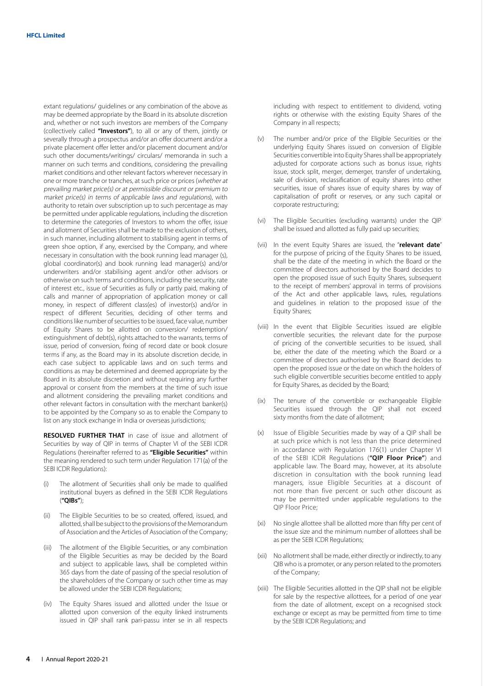extant regulations/ guidelines or any combination of the above as may be deemed appropriate by the Board in its absolute discretion and, whether or not such investors are members of the Company (collectively called **"Investors"**), to all or any of them, jointly or severally through a prospectus and/or an offer document and/or a private placement offer letter and/or placement document and/or such other documents/writings/ circulars/ memoranda in such a manner on such terms and conditions, considering the prevailing market conditions and other relevant factors wherever necessary in one or more tranche or tranches, at such price or prices (whether at prevailing market price(s) or at permissible discount or premium to market price(s) in terms of applicable laws and regulations), with authority to retain over subscription up to such percentage as may be permitted under applicable regulations, including the discretion to determine the categories of Investors to whom the offer, issue and allotment of Securities shall be made to the exclusion of others, in such manner, including allotment to stabilising agent in terms of green shoe option, if any, exercised by the Company, and where necessary in consultation with the book running lead manager (s), global coordinator(s) and book running lead manager(s) and/or underwriters and/or stabilising agent and/or other advisors or otherwise on such terms and conditions, including the security, rate of interest etc., issue of Securities as fully or partly paid, making of calls and manner of appropriation of application money or call money, in respect of different class(es) of investor(s) and/or in respect of different Securities, deciding of other terms and conditions like number of securities to be issued, face value, number of Equity Shares to be allotted on conversion/ redemption/ extinguishment of debt(s), rights attached to the warrants, terms of issue, period of conversion, fixing of record date or book closure terms if any, as the Board may in its absolute discretion decide, in each case subject to applicable laws and on such terms and conditions as may be determined and deemed appropriate by the Board in its absolute discretion and without requiring any further approval or consent from the members at the time of such issue and allotment considering the prevailing market conditions and other relevant factors in consultation with the merchant banker(s) to be appointed by the Company so as to enable the Company to list on any stock exchange in India or overseas jurisdictions;

**RESOLVED FURTHER THAT** in case of issue and allotment of Securities by way of QIP in terms of Chapter VI of the SEBI ICDR Regulations (hereinafter referred to as **"Eligible Securities"** within the meaning rendered to such term under Regulation 171(a) of the SEBI ICDR Regulations):

- The allotment of Securities shall only be made to qualified institutional buyers as defined in the SEBI ICDR Regulations (**"QIBs"**);
- (ii) The Eligible Securities to be so created, offered, issued, and allotted, shall be subject to the provisions of the Memorandum of Association and the Articles of Association of the Company;
- (iii) The allotment of the Eligible Securities, or any combination of the Eligible Securities as may be decided by the Board and subject to applicable laws, shall be completed within 365 days from the date of passing of the special resolution of the shareholders of the Company or such other time as may be allowed under the SEBI ICDR Regulations;
- (iv) The Equity Shares issued and allotted under the Issue or allotted upon conversion of the equity linked instruments issued in QIP shall rank pari-passu inter se in all respects

including with respect to entitlement to dividend, voting rights or otherwise with the existing Equity Shares of the Company in all respects;

- (v) The number and/or price of the Eligible Securities or the underlying Equity Shares issued on conversion of Eligible Securities convertible into Equity Shares shall be appropriately adjusted for corporate actions such as bonus issue, rights issue, stock split, merger, demerger, transfer of undertaking, sale of division, reclassification of equity shares into other securities, issue of shares issue of equity shares by way of capitalisation of profit or reserves, or any such capital or corporate restructuring;
- (vi) The Eligible Securities (excluding warrants) under the QIP shall be issued and allotted as fully paid up securities;
- (vii) In the event Equity Shares are issued, the "**relevant date**" for the purpose of pricing of the Equity Shares to be issued, shall be the date of the meeting in which the Board or the committee of directors authorised by the Board decides to open the proposed issue of such Equity Shares, subsequent to the receipt of members' approval in terms of provisions of the Act and other applicable laws, rules, regulations and guidelines in relation to the proposed issue of the Equity Shares;
- (viii) In the event that Eligible Securities issued are eligible convertible securities, the relevant date for the purpose of pricing of the convertible securities to be issued, shall be, either the date of the meeting which the Board or a committee of directors authorised by the Board decides to open the proposed issue or the date on which the holders of such eligible convertible securities become entitled to apply for Equity Shares, as decided by the Board;
- (ix) The tenure of the convertible or exchangeable Eligible Securities issued through the QIP shall not exceed sixty months from the date of allotment;
- (x) Issue of Eligible Securities made by way of a QIP shall be at such price which is not less than the price determined in accordance with Regulation 176(1) under Chapter VI of the SEBI ICDR Regulations (**"QIP Floor Price"**) and applicable law. The Board may, however, at its absolute discretion in consultation with the book running lead managers, issue Eligible Securities at a discount of not more than five percent or such other discount as may be permitted under applicable regulations to the QIP Floor Price;
- (xi) No single allottee shall be allotted more than fifty per cent of the issue size and the minimum number of allottees shall be as per the SEBI ICDR Regulations;
- (xii) No allotment shall be made, either directly or indirectly, to any QIB who is a promoter, or any person related to the promoters of the Company;
- (xiii) The Eligible Securities allotted in the QIP shall not be eligible for sale by the respective allottees, for a period of one year from the date of allotment, except on a recognised stock exchange or except as may be permitted from time to time by the SEBI ICDR Regulations; and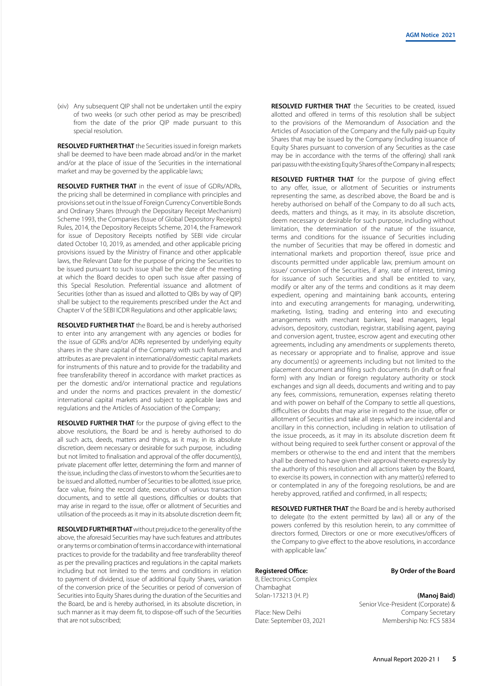(xiv) Any subsequent QIP shall not be undertaken until the expiry of two weeks (or such other period as may be prescribed) from the date of the prior QIP made pursuant to this special resolution.

**RESOLVED FURTHER THAT** the Securities issued in foreign markets shall be deemed to have been made abroad and/or in the market and/or at the place of issue of the Securities in the international market and may be governed by the applicable laws;

**RESOLVED FURTHER THAT** in the event of issue of GDRs/ADRs, the pricing shall be determined in compliance with principles and provisions set out in the Issue of Foreign Currency Convertible Bonds and Ordinary Shares (through the Depositary Receipt Mechanism) Scheme 1993, the Companies (Issue of Global Depository Receipts) Rules, 2014, the Depository Receipts Scheme, 2014, the Framework for issue of Depository Receipts notified by SEBI vide circular dated October 10, 2019, as amended, and other applicable pricing provisions issued by the Ministry of Finance and other applicable laws, the Relevant Date for the purpose of pricing the Securities to be issued pursuant to such issue shall be the date of the meeting at which the Board decides to open such issue after passing of this Special Resolution. Preferential issuance and allotment of Securities (other than as issued and allotted to QIBs by way of QIP) shall be subject to the requirements prescribed under the Act and Chapter V of the SEBI ICDR Regulations and other applicable laws;

**RESOLVED FURTHER THAT** the Board, be and is hereby authorised to enter into any arrangement with any agencies or bodies for the issue of GDRs and/or ADRs represented by underlying equity shares in the share capital of the Company with such features and attributes as are prevalent in international/domestic capital markets for instruments of this nature and to provide for the tradability and free transferability thereof in accordance with market practices as per the domestic and/or international practice and regulations and under the norms and practices prevalent in the domestic/ international capital markets and subject to applicable laws and regulations and the Articles of Association of the Company;

**RESOLVED FURTHER THAT** for the purpose of giving effect to the above resolutions, the Board be and is hereby authorised to do all such acts, deeds, matters and things, as it may, in its absolute discretion, deem necessary or desirable for such purpose, including but not limited to finalisation and approval of the offer document(s), private placement offer letter, determining the form and manner of the issue, including the class of investors to whom the Securities are to be issued and allotted, number of Securities to be allotted, issue price, face value, fixing the record date, execution of various transaction documents, and to settle all questions, difficulties or doubts that may arise in regard to the issue, offer or allotment of Securities and utilisation of the proceeds as it may in its absolute discretion deem fit;

**RESOLVED FURTHER THAT** without prejudice to the generality of the above, the aforesaid Securities may have such features and attributes or any terms or combination of terms in accordance with international practices to provide for the tradability and free transferability thereof as per the prevailing practices and regulations in the capital markets including but not limited to the terms and conditions in relation to payment of dividend, issue of additional Equity Shares, variation of the conversion price of the Securities or period of conversion of Securities into Equity Shares during the duration of the Securities and the Board, be and is hereby authorised, in its absolute discretion, in such manner as it may deem fit, to dispose-off such of the Securities that are not subscribed;

**RESOLVED FURTHER THAT** the Securities to be created, issued allotted and offered in terms of this resolution shall be subject to the provisions of the Memorandum of Association and the Articles of Association of the Company and the fully paid-up Equity Shares that may be issued by the Company (including issuance of Equity Shares pursuant to conversion of any Securities as the case may be in accordance with the terms of the offering) shall rank pari passu with the existing Equity Shares of the Company in all respects;

**RESOLVED FURTHER THAT** for the purpose of giving effect to any offer, issue, or allotment of Securities or instruments representing the same, as described above, the Board be and is hereby authorised on behalf of the Company to do all such acts, deeds, matters and things, as it may, in its absolute discretion, deem necessary or desirable for such purpose, including without limitation, the determination of the nature of the issuance, terms and conditions for the issuance of Securities including the number of Securities that may be offered in domestic and international markets and proportion thereof, issue price and discounts permitted under applicable law, premium amount on issue/ conversion of the Securities, if any, rate of interest, timing for issuance of such Securities and shall be entitled to vary, modify or alter any of the terms and conditions as it may deem expedient, opening and maintaining bank accounts, entering into and executing arrangements for managing, underwriting, marketing, listing, trading and entering into and executing arrangements with merchant bankers, lead managers, legal advisors, depository, custodian, registrar, stabilising agent, paying and conversion agent, trustee, escrow agent and executing other agreements, including any amendments or supplements thereto, as necessary or appropriate and to finalise, approve and issue any document(s) or agreements including but not limited to the placement document and filing such documents (in draft or final form) with any Indian or foreign regulatory authority or stock exchanges and sign all deeds, documents and writing and to pay any fees, commissions, remuneration, expenses relating thereto and with power on behalf of the Company to settle all questions, difficulties or doubts that may arise in regard to the issue, offer or allotment of Securities and take all steps which are incidental and ancillary in this connection, including in relation to utilisation of the issue proceeds, as it may in its absolute discretion deem fit without being required to seek further consent or approval of the members or otherwise to the end and intent that the members shall be deemed to have given their approval thereto expressly by the authority of this resolution and all actions taken by the Board, to exercise its powers, in connection with any matter(s) referred to or contemplated in any of the foregoing resolutions, be and are hereby approved, ratified and confirmed, in all respects;

**RESOLVED FURTHER THAT** the Board be and is hereby authorised to delegate (to the extent permitted by law) all or any of the powers conferred by this resolution herein, to any committee of directors formed, Directors or one or more executives/officers of the Company to give effect to the above resolutions, in accordance with applicable law."

8, Electronics Complex Chambaghat Solan-173213 (H. P.) **(Manoj Baid)**

Place: New Delhi **Company Secretary** Date: September 03, 2021 Membership No: FCS 5834

# **Registered Office: By Order of the Board**

Senior Vice-President (Corporate) &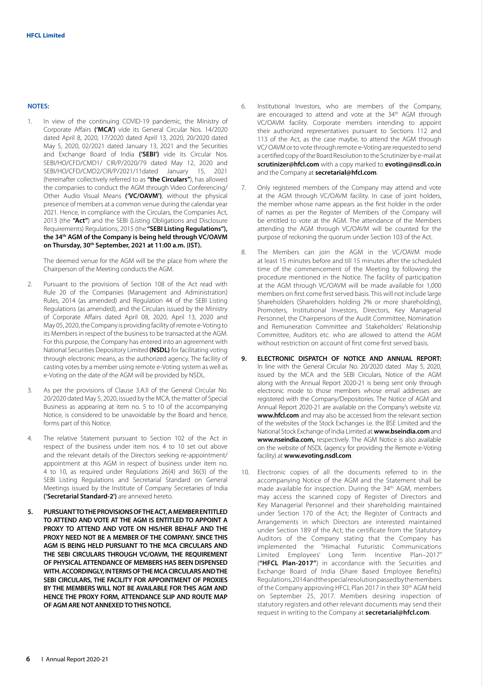# **NOTES:**

1. In view of the continuing COVID-19 pandemic, the Ministry of Corporate Affairs **('MCA')** vide its General Circular Nos. 14/2020 dated April 8, 2020, 17/2020 dated April 13, 2020, 20/2020 dated May 5, 2020, 02/2021 dated January 13, 2021 and the Securities and Exchange Board of India **('SEBI')** vide its Circular Nos. SEBI/HO/CFD/CMD1/ CIR/P/2020/79 dated May 12, 2020 and SEBI/HO/CFD/CMD2/CIR/P/2021/11dated January 15, 2021 (hereinafter collectively referred to as **"the Circulars"**), has allowed the companies to conduct the AGM through Video Conferencing/ Other Audio Visual Means **('VC/OAVM')**, without the physical presence of members at a common venue during the calendar year 2021. Hence, in compliance with the Circulars, the Companies Act, 2013 (the **"Act"**) and the SEBI (Listing Obligations and Disclosure Requirements) Regulations, 2015 (the **"SEBI Listing Regulations"), the 34th AGM of the Company is being held through VC/OAVM on Thursday, 30th September, 2021 at 11:00 a.m. (IST).**

The deemed venue for the AGM will be the place from where the Chairperson of the Meeting conducts the AGM.

- 2. Pursuant to the provisions of Section 108 of the Act read with Rule 20 of the Companies (Management and Administration) Rules, 2014 (as amended) and Regulation 44 of the SEBI Listing Regulations (as amended), and the Circulars issued by the Ministry of Corporate Affairs dated April 08, 2020, April 13, 2020 and May 05, 2020, the Company is providing facility of remote e-Voting to its Members in respect of the business to be transacted at the AGM. For this purpose, the Company has entered into an agreement with National Securities Depository Limited **(NSDL)** for facilitating voting through electronic means, as the authorized agency. The facility of casting votes by a member using remote e-Voting system as well as e-Voting on the date of the AGM will be provided by NSDL.
- 3. As per the provisions of Clause 3.A.II of the General Circular No. 20/2020 dated May 5, 2020, issued by the MCA, the matter of Special Business as appearing at item no. 5 to 10 of the accompanying Notice, is considered to be unavoidable by the Board and hence, forms part of this Notice.
- 4. The relative Statement pursuant to Section 102 of the Act in respect of the business under item nos. 4 to 10 set out above and the relevant details of the Directors seeking re-appointment/ appointment at this AGM in respect of business under item no. 4 to 10, as required under Regulations 26(4) and 36(3) of the SEBI Listing Regulations and Secretarial Standard on General Meetings issued by the Institute of Company Secretaries of India **('Secretarial Standard-2')** are annexed hereto.
- **5. PURSUANT TO THE PROVISIONS OF THE ACT, A MEMBER ENTITLED TO ATTEND AND VOTE AT THE AGM IS ENTITLED TO APPOINT A PROXY TO ATTEND AND VOTE ON HIS/HER BEHALF AND THE PROXY NEED NOT BE A MEMBER OF THE COMPANY. SINCE THIS AGM IS BEING HELD PURSUANT TO THE MCA CIRCULARS AND THE SEBI CIRCULARS THROUGH VC/OAVM, THE REQUIREMENT OF PHYSICAL ATTENDANCE OF MEMBERS HAS BEEN DISPENSED WITH. ACCORDINGLY, IN TERMS OF THE MCA CIRCULARS AND THE SEBI CIRCULARS, THE FACILITY FOR APPOINTMENT OF PROXIES BY THE MEMBERS WILL NOT BE AVAILABLE FOR THIS AGM AND HENCE THE PROXY FORM, ATTENDANCE SLIP AND ROUTE MAP OF AGM ARE NOT ANNEXED TO THIS NOTICE.**
- 6. Institutional Investors, who are members of the Company, are encouraged to attend and vote at the 34<sup>th</sup> AGM through VC/OAVM facility. Corporate members intending to appoint their authorized representatives pursuant to Sections 112 and 113 of the Act, as the case maybe, to attend the AGM through VC/ OAVM or to vote through remote e-Voting are requested to send a certified copy of the Board Resolution to the Scrutinizer by e-mail at **scrutinizer@hfcl.com** with a copy marked to **evoting@nsdl.co.in** and the Company at **secretarial@hfcl.com**.
- 7. Only registered members of the Company may attend and vote at the AGM through VC/OAVM facility. In case of joint holders, the member whose name appears as the first holder in the order of names as per the Register of Members of the Company will be entitled to vote at the AGM. The attendance of the Members attending the AGM through VC/OAVM will be counted for the purpose of reckoning the quorum under Section 103 of the Act.
- 8. The Members can join the AGM in the VC/OAVM mode at least 15 minutes before and till 15 minutes after the scheduled time of the commencement of the Meeting by following the procedure mentioned in the Notice. The facility of participation at the AGM through VC/OAVM will be made available for 1,000 members on first come first served basis. This will not include large Shareholders (Shareholders holding 2% or more shareholding), Promoters, Institutional Investors, Directors, Key Managerial Personnel, the Chairpersons of the Audit Committee, Nomination and Remuneration Committee and Stakeholders' Relationship Committee, Auditors etc. who are allowed to attend the AGM without restriction on account of first come first served basis.
- **9. ELECTRONIC DISPATCH OF NOTICE AND ANNUAL REPORT:** In line with the General Circular No. 20/2020 dated May 5, 2020, issued by the MCA and the SEBI Circulars, Notice of the AGM along with the Annual Report 2020-21 is being sent only through electronic mode to those members whose email addresses are registered with the Company/Depositories. The Notice of AGM and Annual Report 2020-21 are available on the Company's website viz. **www.hfcl.com** and may also be accessed from the relevant section of the websites of the Stock Exchanges i.e. the BSE Limited and the National Stock Exchange of India Limited at **www.bseindia.com** and **www.nseindia.com,** respectively. The AGM Notice is also available on the website of NSDL (agency for providing the Remote e-Voting facility) at **www.evoting.nsdl.com**.
- 10. Electronic copies of all the documents referred to in the accompanying Notice of the AGM and the Statement shall be made available for inspection. During the 34<sup>th</sup> AGM, members may access the scanned copy of Register of Directors and Key Managerial Personnel and their shareholding maintained under Section 170 of the Act; the Register of Contracts and Arrangements in which Directors are interested maintained under Section 189 of the Act; the certificate from the Statutory Auditors of the Company stating that the Company has implemented the "Himachal Futuristic Communications Limited Employees' Long Term Incentive Plan–2017" (**"HFCL Plan-2017"**) in accordance with the Securities and Exchange Board of India (Share Based Employee Benefits) Regulations, 2014 and the special resolution passed by the members of the Company approving HFCL Plan 2017 in their 30<sup>th</sup> AGM held on September 25, 2017. Members desiring inspection of statutory registers and other relevant documents may send their request in writing to the Company at **secretarial@hfcl.com**.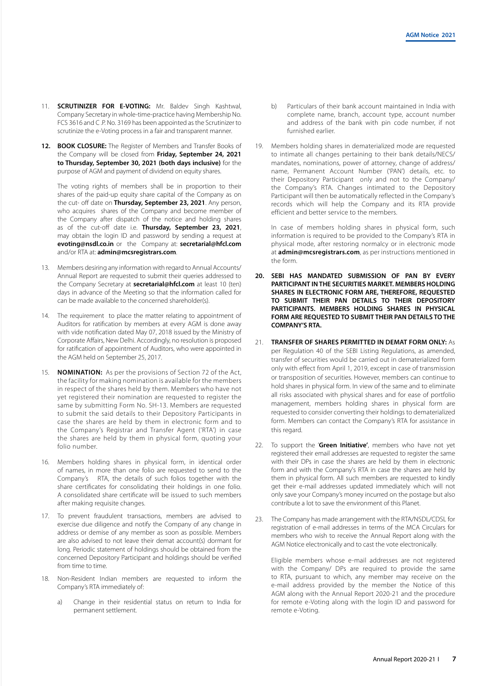- 11. **SCRUTINIZER FOR E-VOTING:** Mr. Baldev Singh Kashtwal, Company Secretary in whole-time-practice having Membership No. FCS 3616 and C .P. No. 3169 has been appointed as the Scrutinizer to scrutinize the e-Voting process in a fair and transparent manner.
- **12. BOOK CLOSURE:** The Register of Members and Transfer Books of the Company will be closed from **Friday, September 24, 2021 to Thursday, September 30, 2021 (both days inclusive)** for the purpose of AGM and payment of dividend on equity shares.

The voting rights of members shall be in proportion to their shares of the paid-up equity share capital of the Company as on the cut- off date on **Thursday, September 23, 2021**. Any person, who acquires shares of the Company and become member of the Company after dispatch of the notice and holding shares as of the cut-off date i.e. **Thursday, September 23, 2021**, may obtain the login ID and password by sending a request at **evoting@nsdl.co.in** or the Company at: **secretarial@hfcl.com** and/or RTA at: **admin@mcsregistrars.com**.

- 13. Members desiring any information with regard to Annual Accounts/ Annual Report are requested to submit their queries addressed to the Company Secretary at **secretarial@hfcl.com** at least 10 (ten) days in advance of the Meeting so that the information called for can be made available to the concerned shareholder(s).
- 14. The requirement to place the matter relating to appointment of Auditors for ratification by members at every AGM is done away with vide notification dated May 07, 2018 issued by the Ministry of Corporate Affairs, New Delhi. Accordingly, no resolution is proposed for ratification of appointment of Auditors, who were appointed in the AGM held on September 25, 2017.
- 15. **NOMINATION:** As per the provisions of Section 72 of the Act, the facility for making nomination is available for the members in respect of the shares held by them. Members who have not yet registered their nomination are requested to register the same by submitting Form No. SH-13. Members are requested to submit the said details to their Depository Participants in case the shares are held by them in electronic form and to the Company's Registrar and Transfer Agent ('RTA') in case the shares are held by them in physical form, quoting your folio number.
- 16. Members holding shares in physical form, in identical order of names, in more than one folio are requested to send to the Company's RTA, the details of such folios together with the share certificates for consolidating their holdings in one folio. A consolidated share certificate will be issued to such members after making requisite changes.
- 17. To prevent fraudulent transactions, members are advised to exercise due diligence and notify the Company of any change in address or demise of any member as soon as possible. Members are also advised to not leave their demat account(s) dormant for long. Periodic statement of holdings should be obtained from the concerned Depository Participant and holdings should be verified from time to time.
- 18. Non-Resident Indian members are requested to inform the Company's RTA immediately of:
	- a) Change in their residential status on return to India for permanent settlement.
- b) Particulars of their bank account maintained in India with complete name, branch, account type, account number and address of the bank with pin code number, if not furnished earlier.
- 19. Members holding shares in dematerialized mode are requested to intimate all changes pertaining to their bank details/NECS/ mandates, nominations, power of attorney, change of address/ name, Permanent Account Number ('PAN') details, etc. to their Depository Participant only and not to the Company/ the Company's RTA. Changes intimated to the Depository Participant will then be automatically reflected in the Company's records which will help the Company and its RTA provide efficient and better service to the members.

In case of members holding shares in physical form, such information is required to be provided to the Company's RTA in physical mode, after restoring normalcy or in electronic mode at **admin@mcsregistrars.com**, as per instructions mentioned in the form.

- **20. SEBI HAS MANDATED SUBMISSION OF PAN BY EVERY PARTICIPANT IN THE SECURITIES MARKET. MEMBERS HOLDING SHARES IN ELECTRONIC FORM ARE, THEREFORE, REQUESTED TO SUBMIT THEIR PAN DETAILS TO THEIR DEPOSITORY PARTICIPANTS. MEMBERS HOLDING SHARES IN PHYSICAL FORM ARE REQUESTED TO SUBMIT THEIR PAN DETAILS TO THE COMPANY'S RTA.**
- 21. **TRANSFER OF SHARES PERMITTED IN DEMAT FORM ONLY:** As per Regulation 40 of the SEBI Listing Regulations, as amended, transfer of securities would be carried out in dematerialized form only with effect from April 1, 2019, except in case of transmission or transposition of securities. However, members can continue to hold shares in physical form. In view of the same and to eliminate all risks associated with physical shares and for ease of portfolio management, members holding shares in physical form are requested to consider converting their holdings to dematerialized form. Members can contact the Company's RTA for assistance in this regard.
- 22. To support the '**Green Initiative'**, members who have not yet registered their email addresses are requested to register the same with their DPs in case the shares are held by them in electronic form and with the Company's RTA in case the shares are held by them in physical form. All such members are requested to kindly get their e-mail addresses updated immediately which will not only save your Company's money incurred on the postage but also contribute a lot to save the environment of this Planet.
- 23. The Company has made arrangement with the RTA/NSDL/CDSL for registration of e-mail addresses in terms of the MCA Circulars for members who wish to receive the Annual Report along with the AGM Notice electronically and to cast the vote electronically.

Eligible members whose e-mail addresses are not registered with the Company/ DPs are required to provide the same to RTA, pursuant to which, any member may receive on the e-mail address provided by the member the Notice of this AGM along with the Annual Report 2020-21 and the procedure for remote e-Voting along with the login ID and password for remote e-Voting.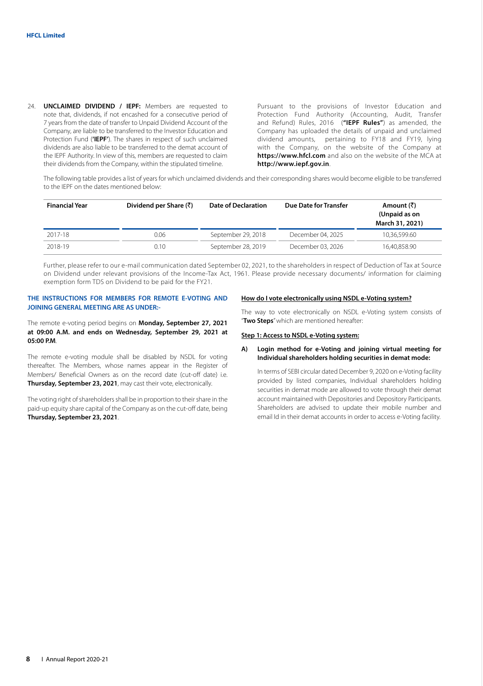24. **UNCLAIMED DIVIDEND / IEPF:** Members are requested to note that, dividends, if not encashed for a consecutive period of 7 years from the date of transfer to Unpaid Dividend Account of the Company, are liable to be transferred to the Investor Education and Protection Fund (**'IEPF'**). The shares in respect of such unclaimed dividends are also liable to be transferred to the demat account of the IEPF Authority. In view of this, members are requested to claim their dividends from the Company, within the stipulated timeline.

Pursuant to the provisions of Investor Education and Protection Fund Authority (Accounting, Audit, Transfer and Refund) Rules, 2016 (**"IEPF Rules"**) as amended, the Company has uploaded the details of unpaid and unclaimed dividend amounts, pertaining to FY18 and FY19, lying with the Company, on the website of the Company at **https://www.hfcl.com** and also on the website of the MCA at **http://www.iepf.gov.in**.

The following table provides a list of years for which unclaimed dividends and their corresponding shares would become eligible to be transferred to the IEPF on the dates mentioned below:

| <b>Financial Year</b> | Dividend per Share $(\bar{\zeta})$ | <b>Date of Declaration</b> | Due Date for Transfer | Amount (₹)<br>(Unpaid as on<br>March 31, 2021) |
|-----------------------|------------------------------------|----------------------------|-----------------------|------------------------------------------------|
| 2017-18               | 0.06                               | September 29, 2018         | December 04, 2025     | 10.36.599.60                                   |
| 2018-19               | 0.10                               | September 28, 2019         | December 03, 2026     | 16,40,858.90                                   |

Further, please refer to our e-mail communication dated September 02, 2021, to the shareholders in respect of Deduction of Tax at Source on Dividend under relevant provisions of the Income-Tax Act, 1961. Please provide necessary documents/ information for claiming exemption form TDS on Dividend to be paid for the FY21.

# **THE INSTRUCTIONS FOR MEMBERS FOR REMOTE E-VOTING AND JOINING GENERAL MEETING ARE AS UNDER:-**

The remote e-voting period begins on **Monday, September 27, 2021 at 09:00 A.M. and ends on Wednesday, September 29, 2021 at 05:00 P.M**.

The remote e-voting module shall be disabled by NSDL for voting thereafter. The Members, whose names appear in the Register of Members/ Beneficial Owners as on the record date (cut-off date) i.e. **Thursday, September 23, 2021**, may cast their vote, electronically.

The voting right of shareholders shall be in proportion to their share in the paid-up equity share capital of the Company as on the cut-off date, being **Thursday, September 23, 2021**.

#### **How do I vote electronically using NSDL e-Voting system?**

The way to vote electronically on NSDL e-Voting system consists of "**Two Steps**" which are mentioned hereafter:

# **Step 1: Access to NSDL e-Voting system:**

# **A) Login method for e-Voting and joining virtual meeting for Individual shareholders holding securities in demat mode:**

In terms of SEBI circular dated December 9, 2020 on e-Voting facility provided by listed companies, Individual shareholders holding securities in demat mode are allowed to vote through their demat account maintained with Depositories and Depository Participants. Shareholders are advised to update their mobile number and email Id in their demat accounts in order to access e-Voting facility.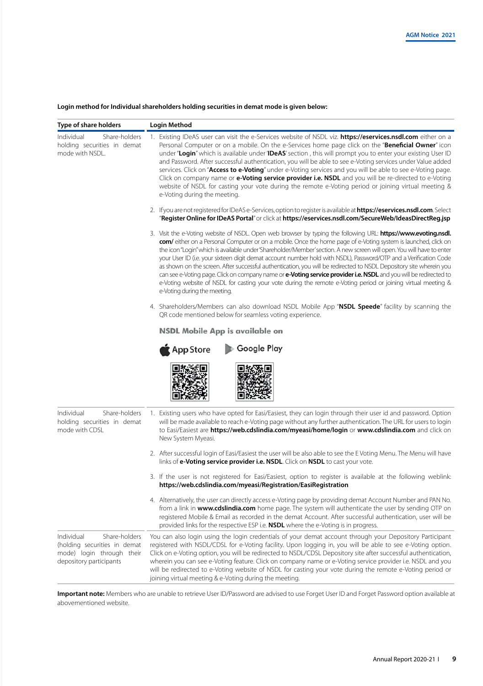# **Login method for Individual shareholders holding securities in demat mode is given below:**

| Type of share holders                                                                                               | Login Method                                                                                                                                                                                                                                                                                                                                                                                                                                                                                                                                                                                                                                                                                                                                                                                                                                                                       |
|---------------------------------------------------------------------------------------------------------------------|------------------------------------------------------------------------------------------------------------------------------------------------------------------------------------------------------------------------------------------------------------------------------------------------------------------------------------------------------------------------------------------------------------------------------------------------------------------------------------------------------------------------------------------------------------------------------------------------------------------------------------------------------------------------------------------------------------------------------------------------------------------------------------------------------------------------------------------------------------------------------------|
| Individual<br>Share-holders<br>holding securities in demat<br>mode with NSDL.                                       | 1. Existing IDeAS user can visit the e-Services website of NSDL viz. https://eservices.nsdl.com either on a<br>Personal Computer or on a mobile. On the e-Services home page click on the "Beneficial Owner" icon<br>under "Login" which is available under 'IDeAS' section, this will prompt you to enter your existing User ID<br>and Password. After successful authentication, you will be able to see e-Voting services under Value added<br>services. Click on "Access to e-Voting" under e-Voting services and you will be able to see e-Voting page.<br>Click on company name or <b>e-Voting service provider i.e. NSDL</b> and you will be re-directed to e-Voting<br>website of NSDL for casting your vote during the remote e-Voting period or joining virtual meeting &<br>e-Voting during the meeting.                                                                |
|                                                                                                                     | 2. If you are not registered for IDeAS e-Services, option to register is available at https://eservices.nsdl.com. Select<br>"Register Online for IDeAS Portal" or click at https://eservices.nsdl.com/SecureWeb/IdeasDirectReg.jsp                                                                                                                                                                                                                                                                                                                                                                                                                                                                                                                                                                                                                                                 |
|                                                                                                                     | 3. Visit the e-Voting website of NSDL. Open web browser by typing the following URL: https://www.evoting.nsdl.<br>com/ either on a Personal Computer or on a mobile. Once the home page of e-Voting system is launched, click on<br>the icon "Login" which is available under 'Shareholder/Member' section. A new screen will open. You will have to enter<br>your User ID (i.e. your sixteen digit demat account number hold with NSDL), Password/OTP and a Verification Code<br>as shown on the screen. After successful authentication, you will be redirected to NSDL Depository site wherein you<br>can see e-Voting page. Click on company name or <b>e-Voting service provider i.e. NSDL</b> and you will be redirected to<br>e-Voting website of NSDL for casting your vote during the remote e-Voting period or joining virtual meeting &<br>e-Voting during the meeting. |
|                                                                                                                     | 4. Shareholders/Members can also download NSDL Mobile App "NSDL Speede" facility by scanning the<br>QR code mentioned below for seamless voting experience.                                                                                                                                                                                                                                                                                                                                                                                                                                                                                                                                                                                                                                                                                                                        |
|                                                                                                                     | <b>NSDL Mobile App is available on</b>                                                                                                                                                                                                                                                                                                                                                                                                                                                                                                                                                                                                                                                                                                                                                                                                                                             |
|                                                                                                                     | Coogle Play<br>$\bigstar$ App Store                                                                                                                                                                                                                                                                                                                                                                                                                                                                                                                                                                                                                                                                                                                                                                                                                                                |
| Share-holders<br>Individual<br>holding securities in demat<br>mode with CDSL                                        | 1. Existing users who have opted for Easi/Easiest, they can login through their user id and password. Option<br>will be made available to reach e-Voting page without any further authentication. The URL for users to login<br>to Easi/Easiest are https://web.cdslindia.com/myeasi/home/login or www.cdslindia.com and click on<br>New System Myeasi.                                                                                                                                                                                                                                                                                                                                                                                                                                                                                                                            |
|                                                                                                                     | 2. After successful login of Easi/Easiest the user will be also able to see the E Voting Menu. The Menu will have<br>links of e-Voting service provider i.e. NSDL. Click on NSDL to cast your vote.                                                                                                                                                                                                                                                                                                                                                                                                                                                                                                                                                                                                                                                                                |
|                                                                                                                     | 3. If the user is not registered for Easi/Easiest, option to register is available at the following weblink:<br>https://web.cdslindia.com/myeasi/Registration/EasiRegistration                                                                                                                                                                                                                                                                                                                                                                                                                                                                                                                                                                                                                                                                                                     |
|                                                                                                                     | 4. Alternatively, the user can directly access e-Voting page by providing demat Account Number and PAN No.<br>from a link in www.cdslindia.com home page. The system will authenticate the user by sending OTP on<br>registered Mobile & Email as recorded in the demat Account. After successful authentication, user will be<br>provided links for the respective ESP i.e. NSDL where the e-Voting is in progress.                                                                                                                                                                                                                                                                                                                                                                                                                                                               |
| Individual<br>Share-holders<br>(holding securities in demat<br>mode) login through their<br>depository participants | You can also login using the login credentials of your demat account through your Depository Participant<br>registered with NSDL/CDSL for e-Voting facility. Upon logging in, you will be able to see e-Voting option.<br>Click on e-Voting option, you will be redirected to NSDL/CDSL Depository site after successful authentication,<br>wherein you can see e-Voting feature. Click on company name or e-Voting service provider i.e. NSDL and you<br>will be redirected to e-Voting website of NSDL for casting your vote during the remote e-Voting period or<br>joining virtual meeting & e-Voting during the meeting.                                                                                                                                                                                                                                                      |

**Important note:** Members who are unable to retrieve User ID/Password are advised to use Forget User ID and Forget Password option available at abovementioned website.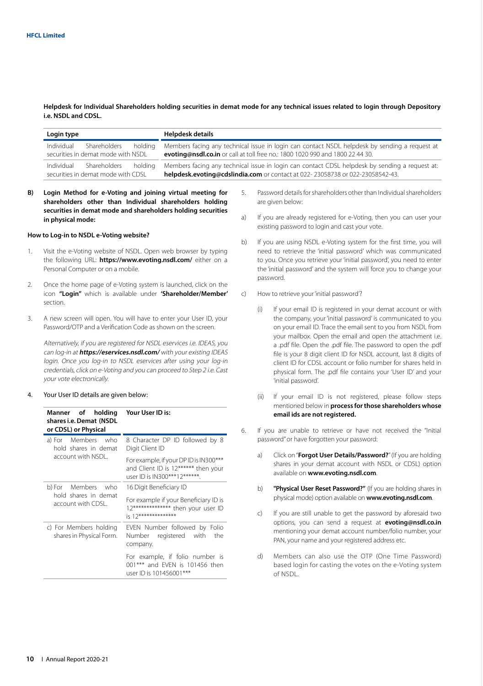**Helpdesk for Individual Shareholders holding securities in demat mode for any technical issues related to login through Depository i.e. NSDL and CDSL.**

| Login type                                                                  | Helpdesk details                                                                                                                                                                |
|-----------------------------------------------------------------------------|---------------------------------------------------------------------------------------------------------------------------------------------------------------------------------|
| Individual<br>Shareholders<br>holdina<br>securities in demat mode with NSDL | Members facing any technical issue in login can contact NSDL helpdesk by sending a request at<br>evoting@nsdl.co.in or call at toll free no.: 1800 1020 990 and 1800 22 44 30.  |
| Individual<br>Shareholders<br>holdina<br>securities in demat mode with CDSL | Members facing any technical issue in login can contact CDSL helpdesk by sending a request at:<br>helpdesk.evoting@cdslindia.com or contact at 022-23058738 or 022-23058542-43. |

**B) Login Method for e-Voting and joining virtual meeting for shareholders other than Individual shareholders holding securities in demat mode and shareholders holding securities in physical mode:**

#### **How to Log-in to NSDL e-Voting website?**

- Visit the e-Voting website of NSDL. Open web browser by typing the following URL: **https://www.evoting.nsdl.com/** either on a Personal Computer or on a mobile.
- 2. Once the home page of e-Voting system is launched, click on the icon **"Login"** which is available under **'Shareholder/Member'**  section.
- 3. A new screen will open. You will have to enter your User ID, your Password/OTP and a Verification Code as shown on the screen.

Alternatively, if you are registered for NSDL eservices i.e. IDEAS, you can log-in at **https://eservices.nsdl.com/** with your existing IDEAS login. Once you log-in to NSDL eservices after using your log-in credentials, click on e-Voting and you can proceed to Step 2 i.e. Cast your vote electronically.

4. Your User ID details are given below:

| Manner of holding<br>shares i.e. Demat (NSDL<br>or CDSL) or Physical | Your User ID is:                                                                                             |
|----------------------------------------------------------------------|--------------------------------------------------------------------------------------------------------------|
| a) For Members who<br>hold shares in demat                           | 8 Character DP ID followed by 8<br>Digit Client ID                                                           |
| account with NSDL.                                                   | For example, if your DPID is IN300***<br>and Client ID is 12****** then your<br>user ID is IN300***12******. |
| b) For Members who                                                   | 16 Digit Beneficiary ID                                                                                      |
| hold shares in demat<br>account with CDSL.                           | For example if your Beneficiary ID is<br>12************** then your user ID<br>is 12***************          |
| c) For Members holding<br>shares in Physical Form.                   | EVEN Number followed by Folio<br>Number registered with<br>the<br>company.                                   |
|                                                                      | For example, if folio number is<br>001*** and FVFN is 101456 then<br>user ID is 101456001***                 |

- 5. Password details for shareholders other than Individual shareholders are given below:
- a) If you are already registered for e-Voting, then you can user your existing password to login and cast your vote.
- b) If you are using NSDL e-Voting system for the first time, you will need to retrieve the 'initial password' which was communicated to you. Once you retrieve your 'initial password', you need to enter the 'initial password' and the system will force you to change your password.
- c) How to retrieve your 'initial password'?
	- (i) If your email ID is registered in your demat account or with the company, your 'initial password' is communicated to you on your email ID. Trace the email sent to you from NSDL from your mailbox. Open the email and open the attachment i.e. a .pdf file. Open the .pdf file. The password to open the .pdf file is your 8 digit client ID for NSDL account, last 8 digits of client ID for CDSL account or folio number for shares held in physical form. The .pdf file contains your 'User ID' and your 'initial password'.
	- (ii) If your email ID is not registered, please follow steps mentioned below in **process for those shareholders whose email ids are not registered.**
- 6. If you are unable to retrieve or have not received the "Initial password" or have forgotten your password:
	- a) Click on "**Forgot User Details/Password?**" (If you are holding shares in your demat account with NSDL or CDSL) option available on **www.evoting.nsdl.com**.
	- b) **"Physical User Reset Password?"** (If you are holding shares in physical mode) option available on **www.evoting.nsdl.com**.
	- c) If you are still unable to get the password by aforesaid two options, you can send a request at **evoting@nsdl.co.in** mentioning your demat account number/folio number, your PAN, your name and your registered address etc.
	- d) Members can also use the OTP (One Time Password) based login for casting the votes on the e-Voting system of NSDL.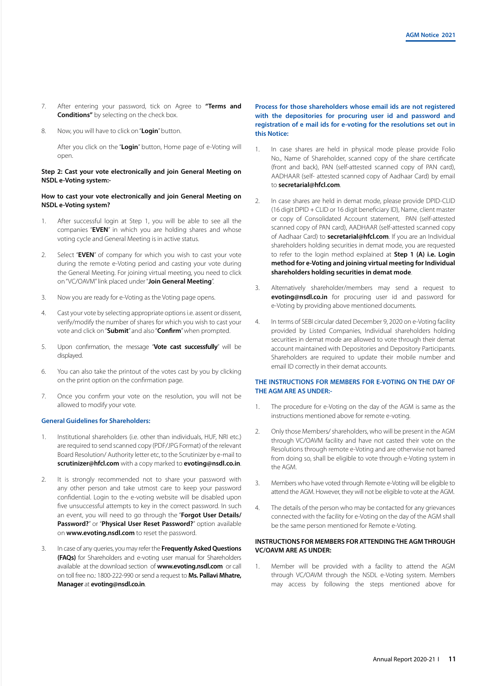- 7. After entering your password, tick on Agree to **"Terms and Conditions"** by selecting on the check box.
- 8. Now, you will have to click on "**Login**" button.

After you click on the "**Login**" button, Home page of e-Voting will open.

# **Step 2: Cast your vote electronically and join General Meeting on NSDL e-Voting system:-**

### **How to cast your vote electronically and join General Meeting on NSDL e-Voting system?**

- 1. After successful login at Step 1, you will be able to see all the companies "**EVEN**" in which you are holding shares and whose voting cycle and General Meeting is in active status.
- 2. Select "**EVEN**" of company for which you wish to cast your vote during the remote e-Voting period and casting your vote during the General Meeting. For joining virtual meeting, you need to click on "VC/OAVM" link placed under "**Join General Meeting**".
- 3. Now you are ready for e-Voting as the Voting page opens.
- 4. Cast your vote by selecting appropriate options i.e. assent or dissent, verify/modify the number of shares for which you wish to cast your vote and click on "**Submit**" and also "**Confirm**" when prompted.
- 5. Upon confirmation, the message "**Vote cast successfully**" will be displayed.
- 6. You can also take the printout of the votes cast by you by clicking on the print option on the confirmation page.
- 7. Once you confirm your vote on the resolution, you will not be allowed to modify your vote.

### **General Guidelines for Shareholders:**

- 1. Institutional shareholders (i.e. other than individuals, HUF, NRI etc.) are required to send scanned copy (PDF/JPG Format) of the relevant Board Resolution/ Authority letter etc, to the Scrutinizer by e-mail to **scrutinizer@hfcl.com** with a copy marked to **evoting@nsdl.co.in**.
- 2. It is strongly recommended not to share your password with any other person and take utmost care to keep your password confidential. Login to the e-voting website will be disabled upon five unsuccessful attempts to key in the correct password. In such an event, you will need to go through the "**Forgot User Details/ Password?**" or "**Physical User Reset Password?**" option available on **www.evoting.nsdl.com** to reset the password.
- 3. In case of any queries, you may refer the **Frequently Asked Questions (FAQs)** for Shareholders and e-voting user manual for Shareholders available at the download section of **www.evoting.nsdl.com** or call on toll free no.: 1800-222-990 or send a request to **Ms. Pallavi Mhatre, Manager** at **evoting@nsdl.co.in**.

# **Process for those shareholders whose email ids are not registered with the depositories for procuring user id and password and registration of e mail ids for e-voting for the resolutions set out in this Notice:**

- 1. In case shares are held in physical mode please provide Folio No., Name of Shareholder, scanned copy of the share certificate (front and back), PAN (self-attested scanned copy of PAN card), AADHAAR (self- attested scanned copy of Aadhaar Card) by email to **secretarial@hfcl.com**.
- 2. In case shares are held in demat mode, please provide DPID-CLID (16 digit DPID + CLID or 16 digit beneficiary ID), Name, client master or copy of Consolidated Account statement, PAN (self-attested scanned copy of PAN card), AADHAAR (self-attested scanned copy of Aadhaar Card) to **secretarial@hfcl.com**. If you are an Individual shareholders holding securities in demat mode, you are requested to refer to the login method explained at **Step 1 (A) i.e. Login method for e-Voting and joining virtual meeting for Individual shareholders holding securities in demat mode**.
- 3. Alternatively shareholder/members may send a request to **evoting@nsdl.co.in** for procuring user id and password for e-Voting by providing above mentioned documents.
- 4. In terms of SEBI circular dated December 9, 2020 on e-Voting facility provided by Listed Companies, Individual shareholders holding securities in demat mode are allowed to vote through their demat account maintained with Depositories and Depository Participants. Shareholders are required to update their mobile number and email ID correctly in their demat accounts.

# **THE INSTRUCTIONS FOR MEMBERS FOR E-VOTING ON THE DAY OF THE AGM ARE AS UNDER:-**

- 1. The procedure for e-Voting on the day of the AGM is same as the instructions mentioned above for remote e-voting.
- 2. Only those Members/ shareholders, who will be present in the AGM through VC/OAVM facility and have not casted their vote on the Resolutions through remote e-Voting and are otherwise not barred from doing so, shall be eligible to vote through e-Voting system in the AGM.
- 3. Members who have voted through Remote e-Voting will be eligible to attend the AGM. However, they will not be eligible to vote at the AGM.
- 4. The details of the person who may be contacted for any grievances connected with the facility for e-Voting on the day of the AGM shall be the same person mentioned for Remote e-Voting.

# **INSTRUCTIONS FOR MEMBERS FOR ATTENDING THE AGM THROUGH VC/OAVM ARE AS UNDER:**

1. Member will be provided with a facility to attend the AGM through VC/OAVM through the NSDL e-Voting system. Members may access by following the steps mentioned above for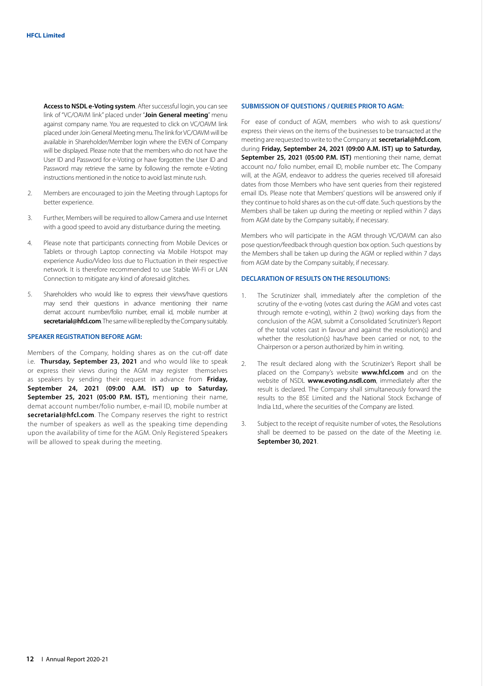**Access to NSDL e-Voting system**. After successful login, you can see link of "VC/OAVM link" placed under "**Join General meeting**" menu against company name. You are requested to click on VC/OAVM link placed under Join General Meeting menu. The link for VC/OAVM will be available in Shareholder/Member login where the EVEN of Company will be displayed. Please note that the members who do not have the User ID and Password for e-Voting or have forgotten the User ID and Password may retrieve the same by following the remote e-Voting instructions mentioned in the notice to avoid last minute rush.

- 2. Members are encouraged to join the Meeting through Laptops for better experience.
- 3. Further, Members will be required to allow Camera and use Internet with a good speed to avoid any disturbance during the meeting.
- 4. Please note that participants connecting from Mobile Devices or Tablets or through Laptop connecting via Mobile Hotspot may experience Audio/Video loss due to Fluctuation in their respective network. It is therefore recommended to use Stable Wi-Fi or LAN Connection to mitigate any kind of aforesaid glitches.
- 5. Shareholders who would like to express their views/have questions may send their questions in advance mentioning their name demat account number/folio number, email id, mobile number at **secretarial@hfcl.com**. The same will be replied by the Company suitably.

#### **SPEAKER REGISTRATION BEFORE AGM:**

Members of the Company, holding shares as on the cut-off date i.e. **Thursday, September 23, 2021** and who would like to speak or express their views during the AGM may register themselves as speakers by sending their request in advance from **Friday, September 24, 2021 (09:00 A.M. IST) up to Saturday, September 25, 2021 (05:00 P.M. IST),** mentioning their name, demat account number/folio number, e-mail ID, mobile number at **secretarial@hfcl.com**. The Company reserves the right to restrict the number of speakers as well as the speaking time depending upon the availability of time for the AGM. Only Registered Speakers will be allowed to speak during the meeting.

#### **SUBMISSION OF QUESTIONS / QUERIES PRIOR TO AGM:**

For ease of conduct of AGM, members who wish to ask questions/ express their views on the items of the businesses to be transacted at the meeting are requested to write to the Company at **secretarial@hfcl.com**, during **Friday, September 24, 2021 (09:00 A.M. IST) up to Saturday,**  September 25, 2021 (05:00 P.M. IST) mentioning their name, demat account no./ folio number, email ID, mobile number etc. The Company will, at the AGM, endeavor to address the queries received till aforesaid dates from those Members who have sent queries from their registered email IDs. Please note that Members' questions will be answered only if they continue to hold shares as on the cut-off date. Such questions by the Members shall be taken up during the meeting or replied within 7 days from AGM date by the Company suitably, if necessary.

Members who will participate in the AGM through VC/OAVM can also pose question/feedback through question box option. Such questions by the Members shall be taken up during the AGM or replied within 7 days from AGM date by the Company suitably, if necessary.

#### **DECLARATION OF RESULTS ON THE RESOLUTIONS:**

- 1. The Scrutinizer shall, immediately after the completion of the scrutiny of the e-voting (votes cast during the AGM and votes cast through remote e-voting), within 2 (two) working days from the conclusion of the AGM, submit a Consolidated Scrutinizer's Report of the total votes cast in favour and against the resolution(s) and whether the resolution(s) has/have been carried or not, to the Chairperson or a person authorized by him in writing.
- 2. The result declared along with the Scrutinizer's Report shall be placed on the Company's website **www.hfcl.com** and on the website of NSDL **www.evoting.nsdl.com**, immediately after the result is declared. The Company shall simultaneously forward the results to the BSE Limited and the National Stock Exchange of India Ltd., where the securities of the Company are listed.
- 3. Subject to the receipt of requisite number of votes, the Resolutions shall be deemed to be passed on the date of the Meeting i.e. **September 30, 2021**.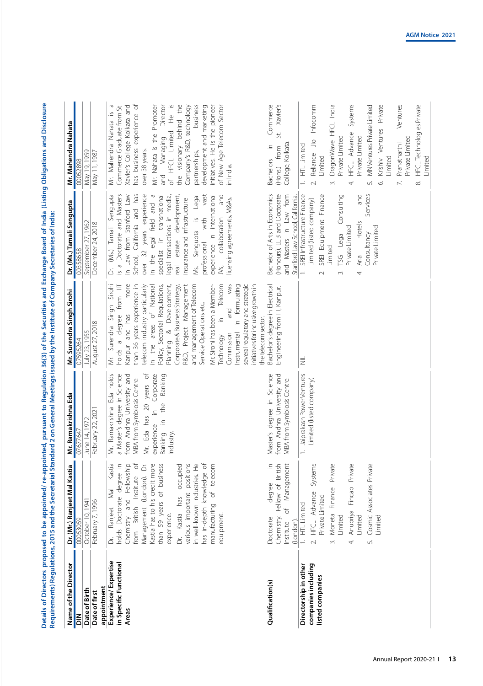| leadin (Hindiene Obline)                                                                                                |                                                                                                                                                                                                                                |
|-------------------------------------------------------------------------------------------------------------------------|--------------------------------------------------------------------------------------------------------------------------------------------------------------------------------------------------------------------------------|
|                                                                                                                         |                                                                                                                                                                                                                                |
| i<br>Si<br>S<br>isainne ann an D                                                                                        |                                                                                                                                                                                                                                |
| Ì<br>→ 36(3) of the Sec                                                                                                 |                                                                                                                                                                                                                                |
|                                                                                                                         |                                                                                                                                                                                                                                |
| ֚֚֓                                                                                                                     |                                                                                                                                                                                                                                |
| l                                                                                                                       |                                                                                                                                                                                                                                |
| ֧֧֦֧֦֧֦֧֧֧֧ׅ֧ׅ֧֧֧֧֧֧֧֧ׅ֧֧֪֧֧֪֧֧֪֧֧֪֧֧֪ׅ֧֧֛֧֛֧֛֧֛֧֧֛֪֧֧֛֚֚֚֚֚֚֚֚֚֚֚֚֚֚֚֚֚֚֚֚֚֚֝֝֝֝֝֬֝֝֓֝֬֜֜֓֜֜֜֜֜֜֜֜֜֜֜֜֜֜֜֜֜֜<br>ה<br>ה | is and the contract of the contract of the contract of the contract of the contract of the contract of the contract of the contract of the contract of the contract of the contract of the contract of the contract of the con |
| ;<br>5                                                                                                                  | i<br>S                                                                                                                                                                                                                         |
| ţ<br>j                                                                                                                  |                                                                                                                                                                                                                                |

| Name of the Director                                             | Dr. (Mr.) Ranjeet Mal Kastia                                                                                                                                                                                                                                                                                                                                                                                       |                                                                                                                                                                                                                                          |                                                                                                                                                                                                                                                                                                                                                                                                                                                                                                                                                                                                                                     |                                                                                                                                                                                                                                                                                                                                                                                                                                                                   |                                                                                                                                                                                                                                                                                                                                                                                                                                       |
|------------------------------------------------------------------|--------------------------------------------------------------------------------------------------------------------------------------------------------------------------------------------------------------------------------------------------------------------------------------------------------------------------------------------------------------------------------------------------------------------|------------------------------------------------------------------------------------------------------------------------------------------------------------------------------------------------------------------------------------------|-------------------------------------------------------------------------------------------------------------------------------------------------------------------------------------------------------------------------------------------------------------------------------------------------------------------------------------------------------------------------------------------------------------------------------------------------------------------------------------------------------------------------------------------------------------------------------------------------------------------------------------|-------------------------------------------------------------------------------------------------------------------------------------------------------------------------------------------------------------------------------------------------------------------------------------------------------------------------------------------------------------------------------------------------------------------------------------------------------------------|---------------------------------------------------------------------------------------------------------------------------------------------------------------------------------------------------------------------------------------------------------------------------------------------------------------------------------------------------------------------------------------------------------------------------------------|
| $\leq$                                                           | 00053059                                                                                                                                                                                                                                                                                                                                                                                                           | Mr. Ramakrishna Eda<br>07677647                                                                                                                                                                                                          | Mr. Surendra Singh Sirohi<br>07595264                                                                                                                                                                                                                                                                                                                                                                                                                                                                                                                                                                                               | Dr. (Ms.) Tamali Sengupta<br>00358658                                                                                                                                                                                                                                                                                                                                                                                                                             | Mr. Mahendra Nahata<br>00052898                                                                                                                                                                                                                                                                                                                                                                                                       |
| Date of Birth                                                    | October 10, 1941                                                                                                                                                                                                                                                                                                                                                                                                   | June 14, 1972                                                                                                                                                                                                                            | July 23, 1955                                                                                                                                                                                                                                                                                                                                                                                                                                                                                                                                                                                                                       | September 27, 1962                                                                                                                                                                                                                                                                                                                                                                                                                                                | May 19, 1959                                                                                                                                                                                                                                                                                                                                                                                                                          |
| appointment<br>Date of first                                     | February 7, 1996                                                                                                                                                                                                                                                                                                                                                                                                   | February 22, 2021                                                                                                                                                                                                                        | August 27, 2018                                                                                                                                                                                                                                                                                                                                                                                                                                                                                                                                                                                                                     | December 24, 2018                                                                                                                                                                                                                                                                                                                                                                                                                                                 | May 11, 1987                                                                                                                                                                                                                                                                                                                                                                                                                          |
| Experience/Expertise<br>in Specific Functional<br>Areas          | Management (London). Dr.<br>$\overline{\circ}$<br>Kastia has to his credit more<br>has in-depth knowledge of<br>Kastia<br>Chemistry and Fellowship<br>than 59 years of business<br>Dr. Kastia has occupied<br>various important positions<br>n well-known Industries. He<br>of telecom<br>holds Doctorate degree in<br>from British Institute<br>Mal<br>manufacturing<br>Ranjeet<br>experience.<br>equipment.<br>ă | Eda holds<br>Eda has 20 years of<br>in Corporate<br>a Master's degree in Science<br>from Andhra University and<br>Banking<br>MBA from Symbiosis Centre.<br>the<br>Mr. Ramakrishna<br>$\cong$<br>experience<br>Banking<br>Industry<br>Δr. | Surendra Singh Sirohi<br>more<br>was<br>than 36 years experience in<br>R&D, Project Management<br>Mr. Sirohi has been a Member-<br>Telecom<br>formulating<br>several regulatory and strategic<br>telecom industry particularly<br>and management of Telecom<br>initiatives for inclusive growth in<br>from IIT<br>in the areas of National<br>Policy, Sectorial Regulations,<br>Development,<br>Corporate & Business Strategy,<br>Service Operations etc.<br>and<br>holds a degree<br>Kanpur and has<br>$\cong$<br>the telecom sector.<br>$\equiv$<br>$\infty$<br>nstrumental<br>Commission<br><b>Technology</b><br>Planning<br>Мr. | over 32 years experience<br>is a Doctorate and Masters<br>School, California and has<br>in the legal field and a<br>vast<br>(Ms.) Tamali Sengupta<br>in Law from Stanford Law<br>specialist in transnational<br>estate development,<br>legal transactions in media,<br>experience in international<br>and<br>Legal<br>licensing agreements, M&As.<br>insurance and infrastructure<br>Ns, collaboration<br>Sengupta is<br>with<br>professional<br>Ms.<br>real<br>ă | Φ<br>behind the<br>Commerce Graduate from St.<br>Xavier's College Kolkata and<br>has business experience of<br>Mr. Nahata is the Promoter<br>of HFCL Limited. He is<br>Company's R&D, technology<br>business<br>initiatives. He is the pioneer<br>Director<br>development and marketing<br>of New Age Telecom Sector<br>Nahata is<br>Managing<br>the visionary<br>Mr. Mahendra<br>over 38 years.<br>partnerships,<br>in India.<br>and |
| Qualification(s)                                                 | Chemistry. Fellow of British<br>Management<br>degree<br>$\sigma$<br>Doctorate<br>(London).<br>Institute                                                                                                                                                                                                                                                                                                            | Master's degree in Science<br>from Andhra University and<br>MBA from Symbiosis Centre.                                                                                                                                                   | Bachelor's degree in Electrical<br>Engineering from IIT, Kanpur.                                                                                                                                                                                                                                                                                                                                                                                                                                                                                                                                                                    | (Honours), LL.B and Doctorate<br>Bachelor of Arts in Economics<br>and Masters in Law from<br>Stanford Law School, California.                                                                                                                                                                                                                                                                                                                                     | Commerce<br>Xavier's<br>St.<br>College, Kolkata.<br>from<br>$\subseteq$<br><b>Bachelors</b><br>(Hons.)                                                                                                                                                                                                                                                                                                                                |
| companies including<br>Directorship in other<br>listed companies | Systems<br>Anupriya Fincap Private<br>Cosmic Associates Private<br>Moneta Finance Private<br>2. HFCL Advance<br>Private Limited<br>1. HTL Limited<br>Limited<br><i><b>Limited</b></i><br>Limited<br>$\tilde{z}$<br>$\overline{4}$<br>$\vec{5}$                                                                                                                                                                     | Jaiprakash Power Ventures<br>Limited (listed company)<br>$\overline{a}$                                                                                                                                                                  | $\equiv$                                                                                                                                                                                                                                                                                                                                                                                                                                                                                                                                                                                                                            | SREI Infrastructure Finance<br>SREI Equipment Finance<br>bue<br>Services<br>TSG Legal Consulting<br>Limited (listed company)<br>Hotels<br>Private Limited<br>Private Limited<br>Consultancy<br>Limited<br>Aria<br>4.<br>$\overline{\sim}$<br>ന്                                                                                                                                                                                                                   | Private<br>DragonWave HFCL India<br>Ventures<br><b>HFCL Technologies Private</b><br>Reliance Jio Infocomm<br>Systems<br>MN Ventures Private Limited<br>Krishiv Ventures<br>HFCL Advance<br>Private Limited<br>Private Limited<br>Private Limited<br>Pranatharthi<br><b>HTL</b> Limited<br>Limited<br>Limited<br>Limited<br>$\ddot{ }$<br>$\overline{\sim}$<br>$\infty$<br>$\overline{m}$<br>Z.<br>S.<br>4.<br>Ó.                      |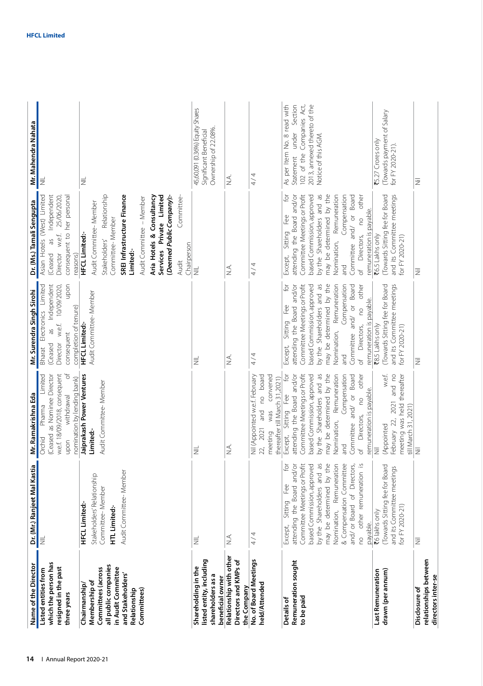| Dr. (Mr.) Ranjeet Mal Kastia<br>Audit Committee-Member<br>Stakeholders' Relationship<br>Committee-Member<br>HFCL Limited:-<br>HTL Limited:-<br>4/4<br>$\leq$<br>$\equiv$<br>I≣<br>Relationship with other<br>listed entity, including<br>No. of Board Meetings<br>Directors and KMPs of<br>which the person has<br>all public companies<br>resigned in the past<br>Shareholding in the<br>Committees (across<br>in Audit Committee<br>Listed entities from<br>and Stakeholders'<br>shareholders as a<br>beneficial owner<br>Membership of<br>held/Attended<br>Chairmanship<br>the Company<br>Committees)<br>Relationship<br>three years | w.e.f. 18/09/2018, consequent<br>đ<br>Jaiprakash Power Ventures<br>Limited<br>(Ceased as Nominee Director<br>nomination by lending bank)<br>Audit Committee-Member<br>withdrawal<br>Pharma<br>Limited:-<br>Orchid<br>upon<br>$\leq$<br>$\equiv$ | Independent<br>upon<br>Limited<br>10/09/2020,<br>Audit Committee-Member<br>completion of tenure)<br>Electronics<br><b>HFCL Limited:-</b><br>w.e.f.<br>Sp<br>consequent<br>Director<br>(Ceased<br>Bharat<br>$\frac{1}{2}$<br>$\equiv$ | Relationship<br>SREI Infrastructure Finance<br>Services Private Limited<br>(Deemed Public Company):-<br>Asian Hotels (West) Limited<br>Independent<br>Aria Hotels & Consultancy<br>Committee-<br>consequent to her personal<br>25/06/2020<br>Audit Committee - Member<br>Dr. (Ms.) Tamali Sengupta<br>Audit Committee-Member<br>Committee-Member<br><b>HFCL Limited:-</b><br>w.e.f.<br>Sp<br>Stakeholders'<br>Chairperson<br>Limited:-<br>Director<br>reasons)<br>(Ceased<br>Audit<br>$\equiv$ | Ownership of 22.08%<br>Significant Beneficial<br>$\equiv$<br>$\equiv$                     |
|-----------------------------------------------------------------------------------------------------------------------------------------------------------------------------------------------------------------------------------------------------------------------------------------------------------------------------------------------------------------------------------------------------------------------------------------------------------------------------------------------------------------------------------------------------------------------------------------------------------------------------------------|-------------------------------------------------------------------------------------------------------------------------------------------------------------------------------------------------------------------------------------------------|--------------------------------------------------------------------------------------------------------------------------------------------------------------------------------------------------------------------------------------|------------------------------------------------------------------------------------------------------------------------------------------------------------------------------------------------------------------------------------------------------------------------------------------------------------------------------------------------------------------------------------------------------------------------------------------------------------------------------------------------|-------------------------------------------------------------------------------------------|
|                                                                                                                                                                                                                                                                                                                                                                                                                                                                                                                                                                                                                                         |                                                                                                                                                                                                                                                 |                                                                                                                                                                                                                                      |                                                                                                                                                                                                                                                                                                                                                                                                                                                                                                | 45,60,091 (0.36%) Equity Shares                                                           |
|                                                                                                                                                                                                                                                                                                                                                                                                                                                                                                                                                                                                                                         |                                                                                                                                                                                                                                                 |                                                                                                                                                                                                                                      |                                                                                                                                                                                                                                                                                                                                                                                                                                                                                                |                                                                                           |
|                                                                                                                                                                                                                                                                                                                                                                                                                                                                                                                                                                                                                                         |                                                                                                                                                                                                                                                 |                                                                                                                                                                                                                                      |                                                                                                                                                                                                                                                                                                                                                                                                                                                                                                |                                                                                           |
|                                                                                                                                                                                                                                                                                                                                                                                                                                                                                                                                                                                                                                         |                                                                                                                                                                                                                                                 |                                                                                                                                                                                                                                      |                                                                                                                                                                                                                                                                                                                                                                                                                                                                                                |                                                                                           |
|                                                                                                                                                                                                                                                                                                                                                                                                                                                                                                                                                                                                                                         |                                                                                                                                                                                                                                                 |                                                                                                                                                                                                                                      |                                                                                                                                                                                                                                                                                                                                                                                                                                                                                                |                                                                                           |
|                                                                                                                                                                                                                                                                                                                                                                                                                                                                                                                                                                                                                                         |                                                                                                                                                                                                                                                 |                                                                                                                                                                                                                                      |                                                                                                                                                                                                                                                                                                                                                                                                                                                                                                |                                                                                           |
|                                                                                                                                                                                                                                                                                                                                                                                                                                                                                                                                                                                                                                         |                                                                                                                                                                                                                                                 |                                                                                                                                                                                                                                      |                                                                                                                                                                                                                                                                                                                                                                                                                                                                                                |                                                                                           |
|                                                                                                                                                                                                                                                                                                                                                                                                                                                                                                                                                                                                                                         |                                                                                                                                                                                                                                                 |                                                                                                                                                                                                                                      |                                                                                                                                                                                                                                                                                                                                                                                                                                                                                                |                                                                                           |
|                                                                                                                                                                                                                                                                                                                                                                                                                                                                                                                                                                                                                                         |                                                                                                                                                                                                                                                 |                                                                                                                                                                                                                                      |                                                                                                                                                                                                                                                                                                                                                                                                                                                                                                |                                                                                           |
|                                                                                                                                                                                                                                                                                                                                                                                                                                                                                                                                                                                                                                         |                                                                                                                                                                                                                                                 |                                                                                                                                                                                                                                      |                                                                                                                                                                                                                                                                                                                                                                                                                                                                                                |                                                                                           |
|                                                                                                                                                                                                                                                                                                                                                                                                                                                                                                                                                                                                                                         |                                                                                                                                                                                                                                                 |                                                                                                                                                                                                                                      |                                                                                                                                                                                                                                                                                                                                                                                                                                                                                                |                                                                                           |
|                                                                                                                                                                                                                                                                                                                                                                                                                                                                                                                                                                                                                                         |                                                                                                                                                                                                                                                 |                                                                                                                                                                                                                                      | $\leq$                                                                                                                                                                                                                                                                                                                                                                                                                                                                                         | ≤<br>Z                                                                                    |
|                                                                                                                                                                                                                                                                                                                                                                                                                                                                                                                                                                                                                                         | Nil (Appointed w.e.f. February<br>convened<br>board<br>thereafter till March 31,2021)<br>$\overline{C}$<br>was<br>and<br>2021<br>meeting<br>22,                                                                                                 | 4<br>$\frac{1}{4}$                                                                                                                                                                                                                   | 4/4                                                                                                                                                                                                                                                                                                                                                                                                                                                                                            | 4 / 4                                                                                     |
| attending the Board and/or<br>Committee Meetings or Profit<br>Sitting Fee<br>Except,<br>Remuneration sought<br>to be paid<br>Details of                                                                                                                                                                                                                                                                                                                                                                                                                                                                                                 | ð<br>attending the Board and/or<br>Committee Meetings or Profit<br>Except, Sitting Fee<br>$\tilde{\mathbf{Q}}$                                                                                                                                  | attending the Board and/or<br>Committee Meetings or Profit<br>ğ<br>Except, Sitting Fee                                                                                                                                               | attending the Board and/or<br>Committee Meetings or Profit<br>đ<br>Sitting Fee<br>Except,                                                                                                                                                                                                                                                                                                                                                                                                      | As per Item No. 8 read with<br>Section<br>102 of the Companies Act,<br>under<br>Statement |
| may be determined by the<br>by the Shareholders and as<br>based Commission, approved                                                                                                                                                                                                                                                                                                                                                                                                                                                                                                                                                    | may be determined by the<br>by the Shareholders and as<br>based Commission, approved                                                                                                                                                            | by the Shareholders and as<br>may be determined by the<br>based Commission, approved                                                                                                                                                 | by the Shareholders and as<br>may be determined by the<br>based Commission, approved                                                                                                                                                                                                                                                                                                                                                                                                           | 2013, annexed thereto of the<br>Notice of this AGM.                                       |
| Nomination, Remuneration<br>& Compensation Committee<br>and/ or Board of Directors,                                                                                                                                                                                                                                                                                                                                                                                                                                                                                                                                                     | Remuneration<br>Compensation<br>Committee and/ or Board<br>Nomination,<br>pue                                                                                                                                                                   | Nomination, Remuneration<br>Compensation<br>Committee and/ or Board<br>pue                                                                                                                                                           | Remuneration<br>Compensation<br>Committee and/ or<br>Nomination,<br>and                                                                                                                                                                                                                                                                                                                                                                                                                        |                                                                                           |
| other remuneration is<br>payable.<br>$\overline{c}$                                                                                                                                                                                                                                                                                                                                                                                                                                                                                                                                                                                     | other<br>remuneration is payable.<br>$\overline{c}$<br>Directors,<br>ď                                                                                                                                                                          | other<br>remuneration is payable.<br>$\overline{c}$<br>Directors,<br>ზ<br>ბ                                                                                                                                                          | other<br>Board<br>remuneration is payable.<br>$\approx$<br>Directors,<br>ზ<br>ბ                                                                                                                                                                                                                                                                                                                                                                                                                |                                                                                           |
| <b>₹6</b> lakhs only<br><b>Last Remuneration</b>                                                                                                                                                                                                                                                                                                                                                                                                                                                                                                                                                                                        | Ë                                                                                                                                                                                                                                               | 78.5 Lakhs only                                                                                                                                                                                                                      | 76.5 Lakhs only                                                                                                                                                                                                                                                                                                                                                                                                                                                                                | ₹5.27 Crores only                                                                         |
| Towards Sitting fee for Board<br>drawn (per annum)                                                                                                                                                                                                                                                                                                                                                                                                                                                                                                                                                                                      | w.e.f.<br>(Appointed                                                                                                                                                                                                                            | Towards Sitting fee for Board                                                                                                                                                                                                        | (Towards Sitting fee for Board                                                                                                                                                                                                                                                                                                                                                                                                                                                                 | Towards payment of Salary                                                                 |
| and its Committee meetings<br>for FY 2020-21)                                                                                                                                                                                                                                                                                                                                                                                                                                                                                                                                                                                           | 2021 and no<br>meeting was held thereafter<br>till March 31, 2021)<br>February 22,                                                                                                                                                              | and its Committee meetings<br>for FY 2020-21)                                                                                                                                                                                        | and its Committee meetings<br>for FY 2020-21)                                                                                                                                                                                                                                                                                                                                                                                                                                                  | for FY 2020-21).                                                                          |
| 运<br>Disclosure of                                                                                                                                                                                                                                                                                                                                                                                                                                                                                                                                                                                                                      | 三                                                                                                                                                                                                                                               | W                                                                                                                                                                                                                                    | W                                                                                                                                                                                                                                                                                                                                                                                                                                                                                              | 三                                                                                         |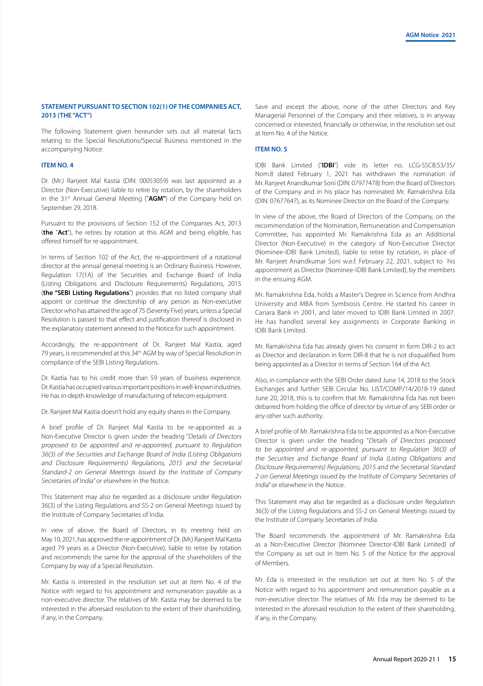# **STATEMENT PURSUANT TO SECTION 102(1) OF THE COMPANIES ACT, 2013 (THE "ACT")**

The following Statement given hereunder sets out all material facts relating to the Special Resolutions/Special Business mentioned in the accompanying Notice:

# **ITEM NO. 4**

Dr. (Mr.) Ranjeet Mal Kastia (DIN: 00053059) was last appointed as a Director (Non-Executive) liable to retire by rotation, by the shareholders in the 31<sup>st</sup> Annual General Meeting ("AGM") of the Company held on September 29, 2018.

Pursuant to the provisions of Section 152 of the Companies Act, 2013 (**the** "**Act**"), he retires by rotation at this AGM and being eligible, has offered himself for re-appointment.

In terms of Section 102 of the Act, the re-appointment of a rotational director at the annual general meeting is an Ordinary Business. However, Regulation 17(1A) of the Securities and Exchange Board of India (Listing Obligations and Disclosure Requirements) Regulations, 2015 (**the "SEBI Listing Regulations**") provides that no listed company shall appoint or continue the directorship of any person as Non-executive Director who has attained the age of 75 (Seventy Five) years, unless a Special Resolution is passed to that effect and justification thereof is disclosed in the explanatory statement annexed to the Notice for such appointment.

Accordingly, the re-appointment of Dr. Ranjeet Mal Kastia, aged 79 years, is recommended at this 34th AGM by way of Special Resolution in compliance of the SEBI Listing Regulations.

Dr. Kastia has to his credit more than 59 years of business experience. Dr. Kastia has occupied various important positions in well-known industries. He has in-depth knowledge of manufacturing of telecom equipment.

Dr. Ranjeet Mal Kastia doesn't hold any equity shares in the Company.

A brief profile of Dr. Ranjeet Mal Kastia to be re-appointed as a Non-Executive Director is given under the heading "Details of Directors proposed to be appointed and re-appointed, pursuant to Regulation 36(3) of the Securities and Exchange Board of India (Listing Obligations and Disclosure Requirements) Regulations, 2015 and the Secretarial Standard-2 on General Meetings issued by the Institute of Company Secretaries of India" or elsewhere in the Notice.

This Statement may also be regarded as a disclosure under Regulation 36(3) of the Listing Regulations and SS-2 on General Meetings issued by the Institute of Company Secretaries of India.

In view of above, the Board of Directors, in its meeting held on May 10, 2021, has approved the re-appointment of Dr. (Mr.) Ranjeet Mal Kastia aged 79 years as a Director (Non-Executive), liable to retire by rotation and recommends the same for the approval of the shareholders of the Company by way of a Special Resolution.

Mr. Kastia is interested in the resolution set out at Item No. 4 of the Notice with regard to his appointment and remuneration payable as a non-executive director. The relatives of Mr. Kastia may be deemed to be interested in the aforesaid resolution to the extent of their shareholding, if any, in the Company.

Save and except the above, none of the other Directors and Key Managerial Personnel of the Company and their relatives, is in anyway concerned or interested, financially or otherwise, in the resolution set out at Item No. 4 of the Notice.

# **ITEM NO. 5**

IDBI Bank Limited ("**IDBI**") vide its letter no. LCG-SSCB.53/35/ Nom.8 dated February 1, 2021 has withdrawn the nomination of Mr. Ranjeet Anandkumar Soni (DIN: 07977478) from the Board of Directors of the Company and in his place has nominated Mr. Ramakrishna Eda (DIN: 07677647), as its Nominee Director on the Board of the Company.

In view of the above, the Board of Directors of the Company, on the recommendation of the Nomination, Remuneration and Compensation Committee, has appointed Mr. Ramakrishna Eda as an Additional Director (Non-Executive) in the category of Non-Executive Director (Nominee-IDBI Bank Limited), liable to retire by rotation, in place of Mr. Ranjeet Anandkumar Soni w.e.f. February 22, 2021, subject to his appointment as Director (Nominee-IDBI Bank Limited), by the members in the ensuing AGM.

Mr. Ramakrishna Eda, holds a Master's Degree in Science from Andhra University and MBA from Symbiosis Centre. He started his career in Canara Bank in 2001, and later moved to IDBI Bank Limited in 2007. He has handled several key assignments in Corporate Banking in IDBI Bank Limited.

Mr. Ramakrishna Eda has already given his consent in form DIR-2 to act as Director and declaration in form DIR-8 that he is not disqualified from being appointed as a Director in terms of Section 164 of the Act.

Also, in compliance with the SEBI Order dated June 14, 2018 to the Stock Exchanges and further SEBI Circular No. LIST/COMP/14/2018-19 dated June 20, 2018, this is to confirm that Mr. Ramakrishna Eda has not been debarred from holding the office of director by virtue of any SEBI order or any other such authority.

A brief profile of Mr. Ramakrishna Eda to be appointed as a Non-Executive Director is given under the heading "Details of Directors proposed to be appointed and re-appointed, pursuant to Regulation 36(3) of the Securities and Exchange Board of India (Listing Obligations and Disclosure Requirements) Regulations, 2015 and the Secretarial Standard 2 on General Meetings issued by the Institute of Company Secretaries of India" or elsewhere in the Notice.

This Statement may also be regarded as a disclosure under Regulation 36(3) of the Listing Regulations and SS-2 on General Meetings issued by the Institute of Company Secretaries of India.

The Board recommends the appointment of Mr. Ramakrishna Eda as a Non-Executive Director (Nominee Director-IDBI Bank Limited) of the Company as set out in Item No. 5 of the Notice for the approval of Members.

Mr. Eda is interested in the resolution set out at Item No. 5 of the Notice with regard to his appointment and remuneration payable as a non-executive director. The relatives of Mr. Eda may be deemed to be interested in the aforesaid resolution to the extent of their shareholding, if any, in the Company.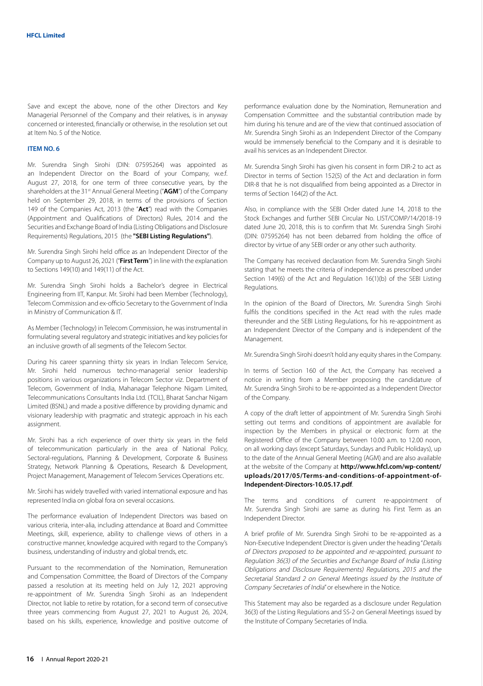Save and except the above, none of the other Directors and Key Managerial Personnel of the Company and their relatives, is in anyway concerned or interested, financially or otherwise, in the resolution set out at Item No. 5 of the Notice.

### **ITEM NO. 6**

Mr. Surendra Singh Sirohi (DIN: 07595264) was appointed as an Independent Director on the Board of your Company, w.e.f. August 27, 2018, for one term of three consecutive years, by the shareholders at the 31<sup>st</sup> Annual General Meeting ("AGM") of the Company held on September 29, 2018, in terms of the provisions of Section 149 of the Companies Act, 2013 (the "**Act**") read with the Companies (Appointment and Qualifications of Directors) Rules, 2014 and the Securities and Exchange Board of India (Listing Obligations and Disclosure Requirements) Regulations, 2015 (the **"SEBI Listing Regulations"**).

Mr. Surendra Singh Sirohi held office as an Independent Director of the Company up to August 26, 2021 ("**First Term**") in line with the explanation to Sections 149(10) and 149(11) of the Act.

Mr. Surendra Singh Sirohi holds a Bachelor's degree in Electrical Engineering from IIT, Kanpur. Mr. Sirohi had been Member (Technology), Telecom Commission and ex-officio Secretary to the Government of India in Ministry of Communication & IT.

As Member (Technology) in Telecom Commission, he was instrumental in formulating several regulatory and strategic initiatives and key policies for an inclusive growth of all segments of the Telecom Sector.

During his career spanning thirty six years in Indian Telecom Service, Mr. Sirohi held numerous techno-managerial senior leadership positions in various organizations in Telecom Sector viz. Department of Telecom, Government of India, Mahanagar Telephone Nigam Limited, Telecommunications Consultants India Ltd. (TCIL), Bharat Sanchar Nigam Limited (BSNL) and made a positive difference by providing dynamic and visionary leadership with pragmatic and strategic approach in his each assignment.

Mr. Sirohi has a rich experience of over thirty six years in the field of telecommunication particularly in the area of National Policy, Sectoral-regulations, Planning & Development, Corporate & Business Strategy, Network Planning & Operations, Research & Development, Project Management, Management of Telecom Services Operations etc.

Mr. Sirohi has widely travelled with varied international exposure and has represented India on global fora on several occasions.

The performance evaluation of Independent Directors was based on various criteria, inter-alia, including attendance at Board and Committee Meetings, skill, experience, ability to challenge views of others in a constructive manner, knowledge acquired with regard to the Company's business, understanding of industry and global trends, etc.

Pursuant to the recommendation of the Nomination, Remuneration and Compensation Committee, the Board of Directors of the Company passed a resolution at its meeting held on July 12, 2021 approving re-appointment of Mr. Surendra Singh Sirohi as an Independent Director, not liable to retire by rotation, for a second term of consecutive three years commencing from August 27, 2021 to August 26, 2024, based on his skills, experience, knowledge and positive outcome of

performance evaluation done by the Nomination, Remuneration and Compensation Committee and the substantial contribution made by him during his tenure and are of the view that continued association of Mr. Surendra Singh Sirohi as an Independent Director of the Company would be immensely beneficial to the Company and it is desirable to avail his services as an Independent Director.

Mr. Surendra Singh Sirohi has given his consent in form DIR-2 to act as Director in terms of Section 152(5) of the Act and declaration in form DIR-8 that he is not disqualified from being appointed as a Director in terms of Section 164(2) of the Act.

Also, in compliance with the SEBI Order dated June 14, 2018 to the Stock Exchanges and further SEBI Circular No. LIST/COMP/14/2018-19 dated June 20, 2018, this is to confirm that Mr. Surendra Singh Sirohi (DIN: 07595264) has not been debarred from holding the office of director by virtue of any SEBI order or any other such authority.

The Company has received declaration from Mr. Surendra Singh Sirohi stating that he meets the criteria of independence as prescribed under Section 149(6) of the Act and Regulation 16(1)(b) of the SEBI Listing Regulations.

In the opinion of the Board of Directors, Mr. Surendra Singh Sirohi fulfils the conditions specified in the Act read with the rules made thereunder and the SEBI Listing Regulations, for his re-appointment as an Independent Director of the Company and is independent of the Management.

Mr. Surendra Singh Sirohi doesn't hold any equity shares in the Company.

In terms of Section 160 of the Act, the Company has received a notice in writing from a Member proposing the candidature of Mr. Surendra Singh Sirohi to be re-appointed as a Independent Director of the Company.

A copy of the draft letter of appointment of Mr. Surendra Singh Sirohi setting out terms and conditions of appointment are available for inspection by the Members in physical or electronic form at the Registered Office of the Company between 10.00 a.m. to 12.00 noon, on all working days (except Saturdays, Sundays and Public Holidays), up to the date of the Annual General Meeting (AGM) and are also available at the website of the Company at **http://www.hfcl.com/wp-content/ uploads/2017/05/Terms-and-conditions-of-appointment-of-Independent-Directors-10.05.17.pdf**.

The terms and conditions of current re-appointment of Mr. Surendra Singh Sirohi are same as during his First Term as an Independent Director.

A brief profile of Mr. Surendra Singh Sirohi to be re-appointed as a Non-Executive Independent Director is given under the heading "Details of Directors proposed to be appointed and re-appointed, pursuant to Regulation 36(3) of the Securities and Exchange Board of India (Listing Obligations and Disclosure Requirements) Regulations, 2015 and the Secretarial Standard 2 on General Meetings issued by the Institute of Company Secretaries of India" or elsewhere in the Notice.

This Statement may also be regarded as a disclosure under Regulation 36(3) of the Listing Regulations and SS-2 on General Meetings issued by the Institute of Company Secretaries of India.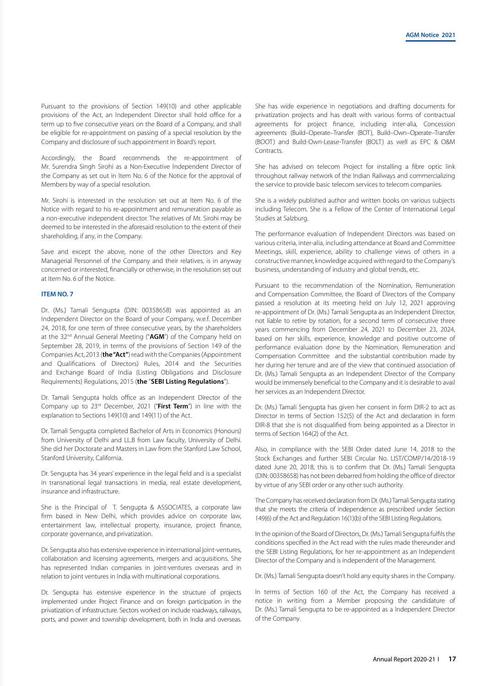Pursuant to the provisions of Section 149(10) and other applicable provisions of the Act, an Independent Director shall hold office for a term up to five consecutive years on the Board of a Company, and shall be eligible for re-appointment on passing of a special resolution by the Company and disclosure of such appointment in Board's report.

Accordingly, the Board recommends the re-appointment of Mr. Surendra Singh Sirohi as a Non-Executive Independent Director of the Company as set out in Item No. 6 of the Notice for the approval of Members by way of a special resolution.

Mr. Sirohi is interested in the resolution set out at Item No. 6 of the Notice with regard to his re-appointment and remuneration payable as a non-executive independent director. The relatives of Mr. Sirohi may be deemed to be interested in the aforesaid resolution to the extent of their shareholding, if any, in the Company.

Save and except the above, none of the other Directors and Key Managerial Personnel of the Company and their relatives, is in anyway concerned or interested, financially or otherwise, in the resolution set out at Item No. 6 of the Notice.

#### **ITEM NO. 7**

Dr. (Ms.) Tamali Sengupta (DIN: 00358658) was appointed as an Independent Director on the Board of your Company, w.e.f. December 24, 2018, for one term of three consecutive years, by the shareholders at the 32<sup>nd</sup> Annual General Meeting ("AGM") of the Company held on September 28, 2019, in terms of the provisions of Section 149 of the Companies Act, 2013 (**the "Act"**) read with the Companies (Appointment and Qualifications of Directors) Rules, 2014 and the Securities and Exchange Board of India (Listing Obligations and Disclosure Requirements) Regulations, 2015 (**the** "**SEBI Listing Regulations**").

Dr. Tamali Sengupta holds office as an Independent Director of the Company up to 23rd December, 2021 ("**First Term**") in line with the explanation to Sections 149(10) and 149(11) of the Act.

Dr. Tamali Sengupta completed Bachelor of Arts in Economics (Honours) from University of Delhi and LL.B from Law faculty, University of Delhi. She did her Doctorate and Masters in Law from the Stanford Law School, Stanford University, California.

Dr. Sengupta has 34 years' experience in the legal field and is a specialist in transnational legal transactions in media, real estate development, insurance and infrastructure.

She is the Principal of T. Sengupta & ASSOCIATES, a corporate law firm based in New Delhi, which provides advice on corporate law, entertainment law, intellectual property, insurance, project finance, corporate governance, and privatization.

Dr. Sengupta also has extensive experience in international joint-ventures, collaboration and licensing agreements, mergers and acquisitions. She has represented Indian companies in joint-ventures overseas and in relation to joint ventures in India with multinational corporations.

Dr. Sengupta has extensive experience in the structure of projects implemented under Project Finance and on foreign participation in the privatization of infrastructure. Sectors worked on include roadways, railways, ports, and power and township development, both in India and overseas.

She has wide experience in negotiations and drafting documents for privatization projects and has dealt with various forms of contractual agreements for project finance, including inter-alia, Concession agreements (Build–Operate–Transfer (BOT), Build–Own–Operate–Transfer (BOOT) and Build-Own-Lease-Transfer (BOLT) as well as EPC & O&M Contracts.

She has advised on telecom Project for installing a fibre optic link throughout railway network of the Indian Railways and commercializing the service to provide basic telecom services to telecom companies.

She is a widely published author and written books on various subjects including Telecom. She is a Fellow of the Center of International Legal Studies at Salzburg.

The performance evaluation of Independent Directors was based on various criteria, inter-alia, including attendance at Board and Committee Meetings, skill, experience, ability to challenge views of others in a constructive manner, knowledge acquired with regard to the Company's business, understanding of industry and global trends, etc.

Pursuant to the recommendation of the Nomination, Remuneration and Compensation Committee, the Board of Directors of the Company passed a resolution at its meeting held on July 12, 2021 approving re-appointment of Dr. (Ms.) Tamali Sengupta as an Independent Director, not liable to retire by rotation, for a second term of consecutive three years commencing from December 24, 2021 to December 23, 2024, based on her skills, experience, knowledge and positive outcome of performance evaluation done by the Nomination, Remuneration and Compensation Committee and the substantial contribution made by her during her tenure and are of the view that continued association of Dr. (Ms.) Tamali Sengupta as an Independent Director of the Company would be immensely beneficial to the Company and it is desirable to avail her services as an Independent Director.

Dr. (Ms.) Tamali Sengupta has given her consent in form DIR-2 to act as Director in terms of Section 152(5) of the Act and declaration in form DIR-8 that she is not disqualified from being appointed as a Director in terms of Section 164(2) of the Act.

Also, in compliance with the SEBI Order dated June 14, 2018 to the Stock Exchanges and further SEBI Circular No. LIST/COMP/14/2018-19 dated June 20, 2018, this is to confirm that Dr. (Ms.) Tamali Sengupta (DIN: 00358658) has not been debarred from holding the office of director by virtue of any SEBI order or any other such authority.

The Company has received declaration from Dr. (Ms.) Tamali Sengupta stating that she meets the criteria of independence as prescribed under Section 149(6) of the Act and Regulation 16(1)(b) of the SEBI Listing Regulations.

In the opinion of the Board of Directors, Dr. (Ms.) Tamali Sengupta fulfils the conditions specified in the Act read with the rules made thereunder and the SEBI Listing Regulations, for her re-appointment as an Independent Director of the Company and is independent of the Management.

Dr. (Ms.) Tamali Sengupta doesn't hold any equity shares in the Company.

In terms of Section 160 of the Act, the Company has received a notice in writing from a Member proposing the candidature of Dr. (Ms.) Tamali Sengupta to be re-appointed as a Independent Director of the Company.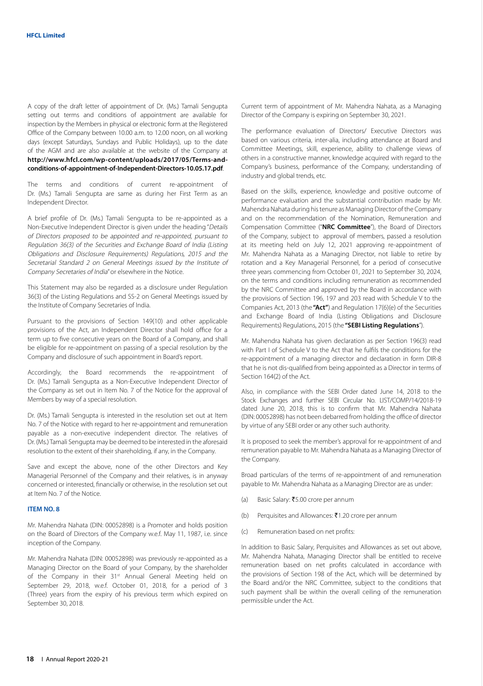A copy of the draft letter of appointment of Dr. (Ms.) Tamali Sengupta setting out terms and conditions of appointment are available for inspection by the Members in physical or electronic form at the Registered Office of the Company between 10.00 a.m. to 12.00 noon, on all working days (except Saturdays, Sundays and Public Holidays), up to the date of the AGM and are also available at the website of the Company at **http://www.hfcl.com/wp-content/uploads/2017/05/Terms-andconditions-of-appointment-of-Independent-Directors-10.05.17.pdf**.

The terms and conditions of current re-appointment of Dr. (Ms.) Tamali Sengupta are same as during her First Term as an Independent Director.

A brief profile of Dr. (Ms.) Tamali Sengupta to be re-appointed as a Non-Executive Independent Director is given under the heading "Details of Directors proposed to be appointed and re-appointed, pursuant to Regulation 36(3) of the Securities and Exchange Board of India (Listing Obligations and Disclosure Requirements) Regulations, 2015 and the Secretarial Standard 2 on General Meetings issued by the Institute of Company Secretaries of India" or elsewhere in the Notice.

This Statement may also be regarded as a disclosure under Regulation 36(3) of the Listing Regulations and SS-2 on General Meetings issued by the Institute of Company Secretaries of India.

Pursuant to the provisions of Section 149(10) and other applicable provisions of the Act, an Independent Director shall hold office for a term up to five consecutive years on the Board of a Company, and shall be eligible for re-appointment on passing of a special resolution by the Company and disclosure of such appointment in Board's report.

Accordingly, the Board recommends the re-appointment of Dr. (Ms.) Tamali Sengupta as a Non-Executive Independent Director of the Company as set out in Item No. 7 of the Notice for the approval of Members by way of a special resolution.

Dr. (Ms.) Tamali Sengupta is interested in the resolution set out at Item No. 7 of the Notice with regard to her re-appointment and remuneration payable as a non-executive independent director. The relatives of Dr. (Ms.) Tamali Sengupta may be deemed to be interested in the aforesaid resolution to the extent of their shareholding, if any, in the Company.

Save and except the above, none of the other Directors and Key Managerial Personnel of the Company and their relatives, is in anyway concerned or interested, financially or otherwise, in the resolution set out at Item No. 7 of the Notice.

# **ITEM NO. 8**

Mr. Mahendra Nahata (DIN: 00052898) is a Promoter and holds position on the Board of Directors of the Company w.e.f. May 11, 1987, i.e. since inception of the Company.

Mr. Mahendra Nahata (DIN: 00052898) was previously re-appointed as a Managing Director on the Board of your Company, by the shareholder of the Company in their 31<sup>st</sup> Annual General Meeting held on September 29, 2018, w.e.f. October 01, 2018, for a period of 3 (Three) years from the expiry of his previous term which expired on September 30, 2018.

Current term of appointment of Mr. Mahendra Nahata, as a Managing Director of the Company is expiring on September 30, 2021.

The performance evaluation of Directors/ Executive Directors was based on various criteria, inter-alia, including attendance at Board and Committee Meetings, skill, experience, ability to challenge views of others in a constructive manner, knowledge acquired with regard to the Company's business, performance of the Company, understanding of industry and global trends, etc.

Based on the skills, experience, knowledge and positive outcome of performance evaluation and the substantial contribution made by Mr. Mahendra Nahata during his tenure as Managing Director of the Company and on the recommendation of the Nomination, Remuneration and Compensation Committee ("**NRC Committee**"), the Board of Directors of the Company, subject to approval of members, passed a resolution at its meeting held on July 12, 2021 approving re-appointment of Mr. Mahendra Nahata as a Managing Director, not liable to retire by rotation and a Key Managerial Personnel, for a period of consecutive three years commencing from October 01, 2021 to September 30, 2024, on the terms and conditions including remuneration as recommended by the NRC Committee and approved by the Board in accordance with the provisions of Section 196, 197 and 203 read with Schedule V to the Companies Act, 2013 (the **"Act"**) and Regulation 17(6)(e) of the Securities and Exchange Board of India (Listing Obligations and Disclosure Requirements) Regulations, 2015 (the **"SEBI Listing Regulations**").

Mr. Mahendra Nahata has given declaration as per Section 196(3) read with Part I of Schedule V to the Act that he fulfils the conditions for the re-appointment of a managing director and declaration in form DIR-8 that he is not dis-qualified from being appointed as a Director in terms of Section 164(2) of the Act.

Also, in compliance with the SEBI Order dated June 14, 2018 to the Stock Exchanges and further SEBI Circular No. LIST/COMP/14/2018-19 dated June 20, 2018, this is to confirm that Mr. Mahendra Nahata (DIN: 00052898) has not been debarred from holding the office of director by virtue of any SEBI order or any other such authority.

It is proposed to seek the member's approval for re-appointment of and remuneration payable to Mr. Mahendra Nahata as a Managing Director of the Company.

Broad particulars of the terms of re-appointment of and remuneration payable to Mr. Mahendra Nahata as a Managing Director are as under:

- (a) Basic Salary: ₹5.00 crore per annum
- (b) Perquisites and Allowances:  $\bar{z}$ 1.20 crore per annum
- (c) Remuneration based on net profits:

In addition to Basic Salary, Perquisites and Allowances as set out above, Mr. Mahendra Nahata, Managing Director shall be entitled to receive remuneration based on net profits calculated in accordance with the provisions of Section 198 of the Act, which will be determined by the Board and/or the NRC Committee, subject to the conditions that such payment shall be within the overall ceiling of the remuneration permissible under the Act.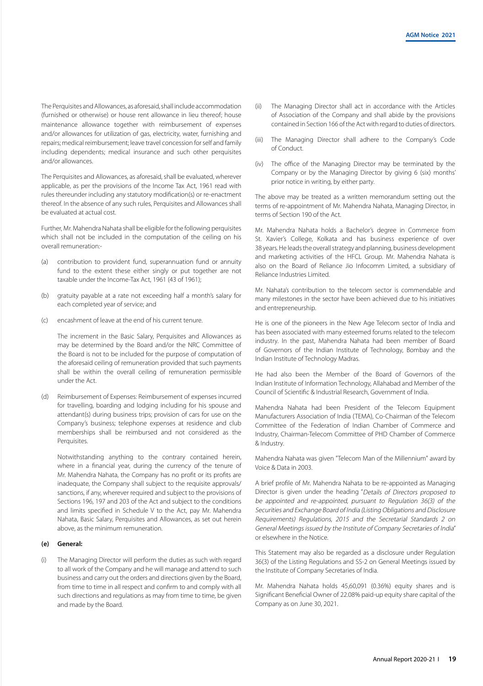The Perquisites and Allowances, as aforesaid, shall include accommodation (furnished or otherwise) or house rent allowance in lieu thereof; house maintenance allowance together with reimbursement of expenses and/or allowances for utilization of gas, electricity, water, furnishing and repairs; medical reimbursement; leave travel concession for self and family including dependents; medical insurance and such other perquisites and/or allowances.

The Perquisites and Allowances, as aforesaid, shall be evaluated, wherever applicable, as per the provisions of the Income Tax Act, 1961 read with rules thereunder including any statutory modification(s) or re-enactment thereof. In the absence of any such rules, Perquisites and Allowances shall be evaluated at actual cost.

Further, Mr. Mahendra Nahata shall be eligible for the following perquisites which shall not be included in the computation of the ceiling on his overall remuneration:-

- (a) contribution to provident fund, superannuation fund or annuity fund to the extent these either singly or put together are not taxable under the Income-Tax Act, 1961 (43 of 1961);
- (b) gratuity payable at a rate not exceeding half a month's salary for each completed year of service; and
- (c) encashment of leave at the end of his current tenure.

The increment in the Basic Salary, Perquisites and Allowances as may be determined by the Board and/or the NRC Committee of the Board is not to be included for the purpose of computation of the aforesaid ceiling of remuneration provided that such payments shall be within the overall ceiling of remuneration permissible under the Act.

(d) Reimbursement of Expenses: Reimbursement of expenses incurred for travelling, boarding and lodging including for his spouse and attendant(s) during business trips; provision of cars for use on the Company's business; telephone expenses at residence and club memberships shall be reimbursed and not considered as the Perquisites.

Notwithstanding anything to the contrary contained herein, where in a financial year, during the currency of the tenure of Mr. Mahendra Nahata, the Company has no profit or its profits are inadequate, the Company shall subject to the requisite approvals/ sanctions, if any, wherever required and subject to the provisions of Sections 196, 197 and 203 of the Act and subject to the conditions and limits specified in Schedule V to the Act, pay Mr. Mahendra Nahata, Basic Salary, Perquisites and Allowances, as set out herein above, as the minimum remuneration.

#### **(e) General:**

(i) The Managing Director will perform the duties as such with regard to all work of the Company and he will manage and attend to such business and carry out the orders and directions given by the Board, from time to time in all respect and confirm to and comply with all such directions and regulations as may from time to time, be given and made by the Board.

- (ii) The Managing Director shall act in accordance with the Articles of Association of the Company and shall abide by the provisions contained in Section 166 of the Act with regard to duties of directors.
- (iii) The Managing Director shall adhere to the Company's Code of Conduct.
- (iv) The office of the Managing Director may be terminated by the Company or by the Managing Director by giving 6 (six) months' prior notice in writing, by either party.

The above may be treated as a written memorandum setting out the terms of re-appointment of Mr. Mahendra Nahata, Managing Director, in terms of Section 190 of the Act.

Mr. Mahendra Nahata holds a Bachelor's degree in Commerce from St. Xavier's College, Kolkata and has business experience of over 38 years. He leads the overall strategy and planning, business development and marketing activities of the HFCL Group. Mr. Mahendra Nahata is also on the Board of Reliance Jio Infocomm Limited, a subsidiary of Reliance Industries Limited.

Mr. Nahata's contribution to the telecom sector is commendable and many milestones in the sector have been achieved due to his initiatives and entrepreneurship.

He is one of the pioneers in the New Age Telecom sector of India and has been associated with many esteemed forums related to the telecom industry. In the past, Mahendra Nahata had been member of Board of Governors of the Indian Institute of Technology, Bombay and the Indian Institute of Technology Madras.

He had also been the Member of the Board of Governors of the Indian Institute of Information Technology, Allahabad and Member of the Council of Scientific & Industrial Research, Government of India.

Mahendra Nahata had been President of the Telecom Equipment Manufacturers Association of India (TEMA), Co-Chairman of the Telecom Committee of the Federation of Indian Chamber of Commerce and Industry, Chairman-Telecom Committee of PHD Chamber of Commerce & Industry.

Mahendra Nahata was given "Telecom Man of the Millennium" award by Voice & Data in 2003.

A brief profile of Mr. Mahendra Nahata to be re-appointed as Managing Director is given under the heading "Details of Directors proposed to be appointed and re-appointed, pursuant to Regulation 36(3) of the Securities and Exchange Board of India (Listing Obligations and Disclosure Requirements) Regulations, 2015 and the Secretarial Standards 2 on General Meetings issued by the Institute of Company Secretaries of India" or elsewhere in the Notice.

This Statement may also be regarded as a disclosure under Regulation 36(3) of the Listing Regulations and SS-2 on General Meetings issued by the Institute of Company Secretaries of India.

Mr. Mahendra Nahata holds 45,60,091 (0.36%) equity shares and is Significant Beneficial Owner of 22.08% paid-up equity share capital of the Company as on June 30, 2021.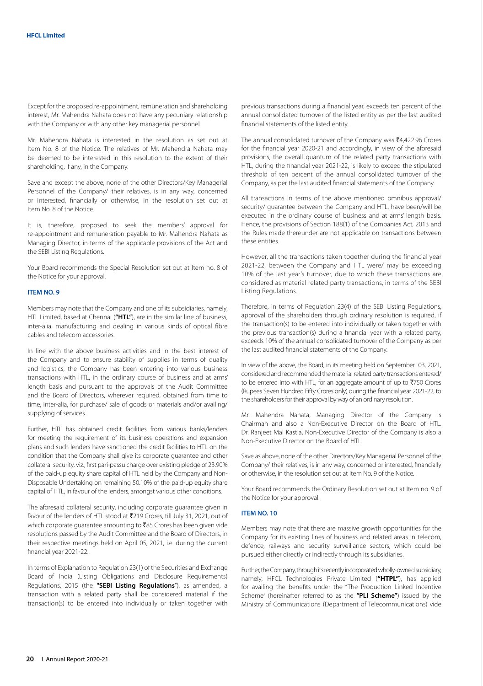Except for the proposed re-appointment, remuneration and shareholding interest, Mr. Mahendra Nahata does not have any pecuniary relationship with the Company or with any other key managerial personnel.

Mr. Mahendra Nahata is interested in the resolution as set out at Item No. 8 of the Notice. The relatives of Mr. Mahendra Nahata may be deemed to be interested in this resolution to the extent of their shareholding, if any, in the Company.

Save and except the above, none of the other Directors/Key Managerial Personnel of the Company/ their relatives, is in any way, concerned or interested, financially or otherwise, in the resolution set out at Item No. 8 of the Notice.

It is, therefore, proposed to seek the members' approval for re-appointment and remuneration payable to Mr. Mahendra Nahata as Managing Director, in terms of the applicable provisions of the Act and the SEBI Listing Regulations.

Your Board recommends the Special Resolution set out at Item no. 8 of the Notice for your approval.

#### **ITEM NO. 9**

Members may note that the Company and one of its subsidiaries, namely, HTL Limited, based at Chennai (**"HTL"**), are in the similar line of business, inter-alia, manufacturing and dealing in various kinds of optical fibre cables and telecom accessories.

In line with the above business activities and in the best interest of the Company and to ensure stability of supplies in terms of quality and logistics, the Company has been entering into various business transactions with HTL, in the ordinary course of business and at arms' length basis and pursuant to the approvals of the Audit Committee and the Board of Directors, wherever required, obtained from time to time, inter-alia, for purchase/ sale of goods or materials and/or availing/ supplying of services.

Further, HTL has obtained credit facilities from various banks/lenders for meeting the requirement of its business operations and expansion plans and such lenders have sanctioned the credit facilities to HTL on the condition that the Company shall give its corporate guarantee and other collateral security, viz., first pari-passu charge over existing pledge of 23.90% of the paid-up equity share capital of HTL held by the Company and Non-Disposable Undertaking on remaining 50.10% of the paid-up equity share capital of HTL, in favour of the lenders, amongst various other conditions.

The aforesaid collateral security, including corporate guarantee given in favour of the lenders of HTL stood at `219 Crores, till July 31, 2021, out of which corporate guarantee amounting to  $\bar{z}$ 85 Crores has been given vide resolutions passed by the Audit Committee and the Board of Directors, in their respective meetings held on April 05, 2021, i.e. during the current financial year 2021-22.

In terms of Explanation to Regulation 23(1) of the Securities and Exchange Board of India (Listing Obligations and Disclosure Requirements) Regulations, 2015 (the **"SEBI Listing Regulations**"), as amended, a transaction with a related party shall be considered material if the transaction(s) to be entered into individually or taken together with

previous transactions during a financial year, exceeds ten percent of the annual consolidated turnover of the listed entity as per the last audited financial statements of the listed entity.

The annual consolidated turnover of the Company was  $\bar{\mathfrak{e}}$ 4,422.96 Crores for the financial year 2020-21 and accordingly, in view of the aforesaid provisions, the overall quantum of the related party transactions with HTL, during the financial year 2021-22, is likely to exceed the stipulated threshold of ten percent of the annual consolidated turnover of the Company, as per the last audited financial statements of the Company.

All transactions in terms of the above mentioned omnibus approval/ security/ guarantee between the Company and HTL, have been/will be executed in the ordinary course of business and at arms' length basis. Hence, the provisions of Section 188(1) of the Companies Act, 2013 and the Rules made thereunder are not applicable on transactions between these entities.

However, all the transactions taken together during the financial year 2021-22, between the Company and HTL were/ may be exceeding 10% of the last year's turnover, due to which these transactions are considered as material related party transactions, in terms of the SEBI Listing Regulations.

Therefore, in terms of Regulation 23(4) of the SEBI Listing Regulations, approval of the shareholders through ordinary resolution is required, if the transaction(s) to be entered into individually or taken together with the previous transaction(s) during a financial year with a related party, exceeds 10% of the annual consolidated turnover of the Company as per the last audited financial statements of the Company.

In view of the above, the Board, in its meeting held on September 03, 2021, considered and recommended the material related party transactions entered/ to be entered into with HTL, for an aggregate amount of up to  $\overline{7}750$  Crores (Rupees Seven Hundred Fifty Crores only) during the financial year 2021-22, to the shareholders for their approval by way of an ordinary resolution.

Mr. Mahendra Nahata, Managing Director of the Company is Chairman and also a Non-Executive Director on the Board of HTL. Dr. Ranjeet Mal Kastia, Non-Executive Director of the Company is also a Non-Executive Director on the Board of HTL.

Save as above, none of the other Directors/Key Managerial Personnel of the Company/ their relatives, is in any way, concerned or interested, financially or otherwise, in the resolution set out at Item No. 9 of the Notice.

Your Board recommends the Ordinary Resolution set out at Item no. 9 of the Notice for your approval.

# **ITEM NO. 10**

Members may note that there are massive growth opportunities for the Company for its existing lines of business and related areas in telecom, defence, railways and security surveillance sectors, which could be pursued either directly or indirectly through its subsidiaries.

Further, the Company, through its recently incorporated wholly-owned subsidiary, namely, HFCL Technologies Private Limited (**"HTPL"**), has applied for availing the benefits under the "The Production Linked Incentive Scheme" (hereinafter referred to as the **"PLI Scheme"**) issued by the Ministry of Communications (Department of Telecommunications) vide